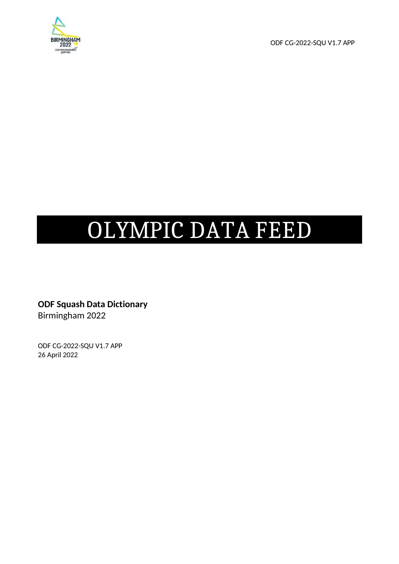

ODF CG-2022-SQU V1.7 APP

# OLYMPIC DATA FEED

**ODF Squash Data Dictionary**  Birmingham 2022

ODF CG-2022-SQU V1.7 APP 26 April 2022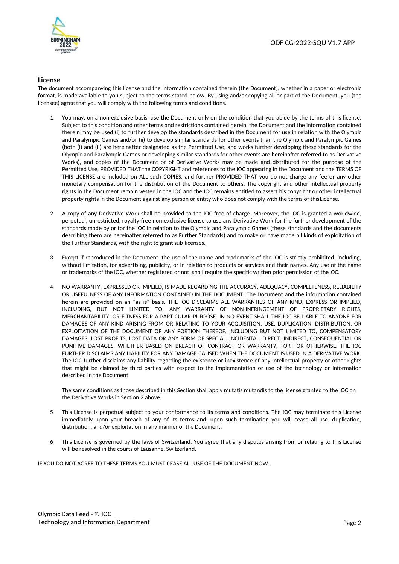

#### **License**

The document accompanying this license and the information contained therein (the Document), whether in a paper or electronic format, is made available to you subject to the terms stated below. By using and/or copying all or part of the Document, you (the licensee) agree that you will comply with the following terms and conditions.

- 1. You may, on a non-exclusive basis, use the Document only on the condition that you abide by the terms of this license. Subject to this condition and other terms and restrictions contained herein, the Document and the information contained therein may be used (i) to further develop the standards described in the Document for use in relation with the Olympic and Paralympic Games and/or (ii) to develop similar standards for other events than the Olympic and Paralympic Games (both (i) and (ii) are hereinafter designated as the Permitted Use, and works further developing these standards for the Olympic and Paralympic Games or developing similar standards for other events are hereinafter referred to as Derivative Works), and copies of the Document or of Derivative Works may be made and distributed for the purpose of the Permitted Use, PROVIDED THAT the COPYRIGHT and references to the IOC appearing in the Document and the TERMS OF THIS LICENSE are included on ALL such COPIES, and further PROVIDED THAT you do not charge any fee or any other monetary compensation for the distribution of the Document to others. The copyright and other intellectual property rights in the Document remain vested in the IOC and the IOC remains entitled to assert his copyright or other intellectual property rights in the Document against any person or entity who does not comply with the terms of this License.
- 2. A copy of any Derivative Work shall be provided to the IOC free of charge. Moreover, the IOC is granted a worldwide, perpetual, unrestricted, royalty-free non-exclusive license to use any Derivative Work for the further development of the standards made by or for the IOC in relation to the Olympic and Paralympic Games (these standards and the documents describing them are hereinafter referred to as Further Standards) and to make or have made all kinds of exploitation of the Further Standards, with the right to grant sub-licenses.
- 3. Except if reproduced in the Document, the use of the name and trademarks of the IOC is strictly prohibited, including, without limitation, for advertising, publicity, or in relation to products or services and their names. Any use of the name or trademarks of the IOC, whether registered or not, shall require the specific written prior permission of the IOC.
- 4. NO WARRANTY, EXPRESSED OR IMPLIED, IS MADE REGARDING THE ACCURACY, ADEQUACY, COMPLETENESS, RELIABILITY OR USEFULNESS OF ANY INFORMATION CONTAINED IN THE DOCUMENT. The Document and the information contained herein are provided on an "as is" basis. THE IOC DISCLAIMS ALL WARRANTIES OF ANY KIND, EXPRESS OR IMPLIED, INCLUDING, BUT NOT LIMITED TO, ANY WARRANTY OF NON-INFRINGEMENT OF PROPRIETARY RIGHTS, MERCHANTABILITY, OR FITNESS FOR A PARTICULAR PURPOSE. IN NO EVENT SHALL THE IOC BE LIABLE TO ANYONE FOR DAMAGES OF ANY KIND ARISING FROM OR RELATING TO YOUR ACQUISITION, USE, DUPLICATION, DISTRIBUTION, OR EXPLOITATION OF THE DOCUMENT OR ANY PORTION THEREOF, INCLUDING BUT NOT LIMITED TO, COMPENSATORY DAMAGES, LOST PROFITS, LOST DATA OR ANY FORM OF SPECIAL, INCIDENTAL, DIRECT, INDIRECT, CONSEQUENTIAL OR PUNITIVE DAMAGES, WHETHER BASED ON BREACH OF CONTRACT OR WARRANTY, TORT OR OTHERWISE. THE IOC FURTHER DISCLAIMS ANY LIABILITY FOR ANY DAMAGE CAUSED WHEN THE DOCUMENT IS USED IN A DERIVATIVE WORK. The IOC further disclaims any liability regarding the existence or inexistence of any intellectual property or other rights that might be claimed by third parties with respect to the implementation or use of the technology or information described in the Document.

The same conditions as those described in this Section shall apply mutatis mutandis to the license granted to the IOC on the Derivative Works in Section 2 above.

- 5. This License is perpetual subject to your conformance to its terms and conditions. The IOC may terminate this License immediately upon your breach of any of its terms and, upon such termination you will cease all use, duplication, distribution, and/or exploitation in any manner of the Document.
- This License is governed by the laws of Switzerland. You agree that any disputes arising from or relating to this License will be resolved in the courts of Lausanne, Switzerland.

IF YOU DO NOT AGREE TO THESE TERMS YOU MUST CEASE ALL USE OF THE DOCUMENT NOW.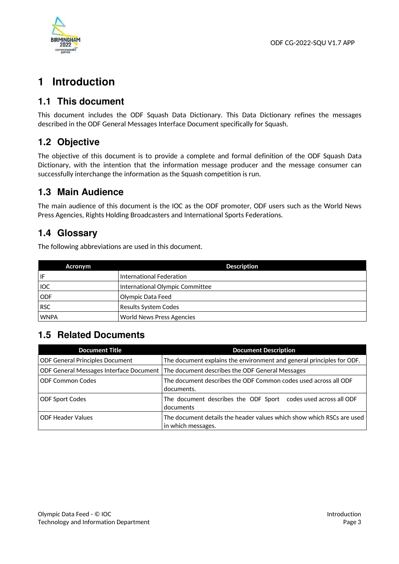

# **1 Introduction**

# **1.1 This document**

This document includes the ODF Squash Data Dictionary. This Data Dictionary refines the messages described in the ODF General Messages Interface Document specifically for Squash.

# **1.2 Objective**

The objective of this document is to provide a complete and formal definition of the ODF Squash Data Dictionary, with the intention that the information message producer and the message consumer can successfully interchange the information as the Squash competition is run.

# **1.3 Main Audience**

The main audience of this document is the IOC as the ODF promoter, ODF users such as the World News Press Agencies, Rights Holding Broadcasters and International Sports Federations.

# **1.4 Glossary**

The following abbreviations are used in this document.

| Acronym     | <b>Description</b>              |
|-------------|---------------------------------|
| IF          | International Federation        |
| <b>IOC</b>  | International Olympic Committee |
| <b>ODF</b>  | Olympic Data Feed               |
| <b>RSC</b>  | Results System Codes            |
| <b>WNPA</b> | World News Press Agencies       |

# **1.5 Related Documents**

| <b>Document Title</b>                   | <b>Document Description</b>                                                                 |
|-----------------------------------------|---------------------------------------------------------------------------------------------|
| <b>ODF General Principles Document</b>  | The document explains the environment and general principles for ODF.                       |
| ODF General Messages Interface Document | The document describes the ODF General Messages                                             |
| <b>ODF Common Codes</b>                 | The document describes the ODF Common codes used across all ODF<br>documents.               |
| <b>ODF Sport Codes</b>                  | The document describes the ODF Sport codes used across all ODF<br>documents                 |
| <b>ODF Header Values</b>                | The document details the header values which show which RSCs are used<br>in which messages. |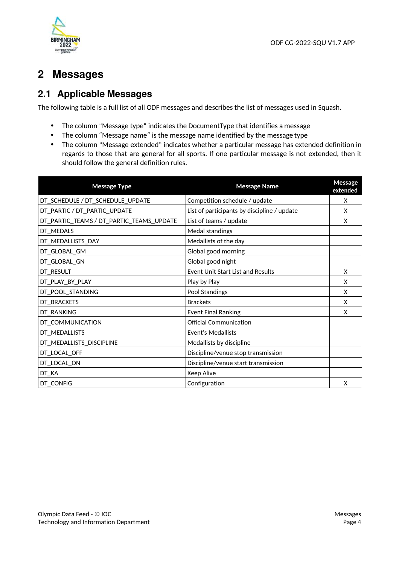

# **2 Messages**

# **2.1 Applicable Messages**

The following table is a full list of all ODF messages and describes the list of messages used in Squash.

- The column "Message type" indicates the DocumentType that identifies a message
- The column "Message name" is the message name identified by the message type
- The column "Message extended" indicates whether a particular message has extended definition in regards to those that are general for all sports. If one particular message is not extended, then it should follow the general definition rules.

| <b>Message Type</b>                      | <b>Message Name</b>                         | Message<br>extended |
|------------------------------------------|---------------------------------------------|---------------------|
| DT_SCHEDULE / DT_SCHEDULE_UPDATE         | Competition schedule / update               | X                   |
| DT_PARTIC / DT_PARTIC_UPDATE             | List of participants by discipline / update | X                   |
| DT_PARTIC_TEAMS / DT_PARTIC_TEAMS_UPDATE | List of teams / update                      | X                   |
| DT_MEDALS                                | Medal standings                             |                     |
| DT_MEDALLISTS_DAY                        | Medallists of the day                       |                     |
| DT_GLOBAL_GM                             | Global good morning                         |                     |
| DT_GLOBAL_GN                             | Global good night                           |                     |
| DT_RESULT                                | <b>Event Unit Start List and Results</b>    | X                   |
| DT_PLAY_BY_PLAY                          | Play by Play                                | X                   |
| DT_POOL_STANDING                         | Pool Standings                              | X                   |
| DT_BRACKETS                              | <b>Brackets</b>                             | X                   |
| DT_RANKING                               | <b>Event Final Ranking</b>                  | X                   |
| DT_COMMUNICATION                         | <b>Official Communication</b>               |                     |
| DT_MEDALLISTS                            | <b>Event's Medallists</b>                   |                     |
| DT_MEDALLISTS_DISCIPLINE                 | Medallists by discipline                    |                     |
| DT_LOCAL_OFF                             | Discipline/venue stop transmission          |                     |
| DT_LOCAL_ON                              | Discipline/venue start transmission         |                     |
| DT_KA                                    | <b>Keep Alive</b>                           |                     |
| DT_CONFIG                                | Configuration                               | X                   |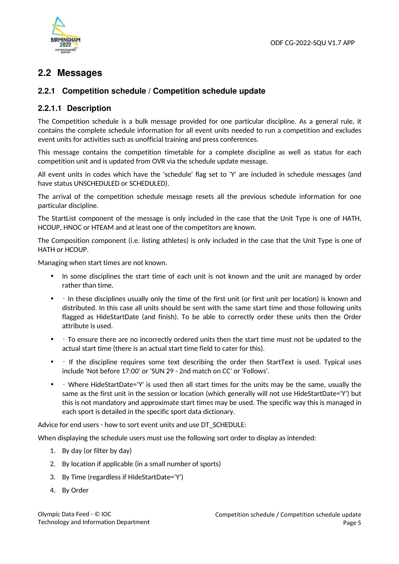

# **2.2 Messages**

# **2.2.1 Competition schedule / Competition schedule update**

# **2.2.1.1 Description**

The Competition schedule is a bulk message provided for one particular discipline. As a general rule, it contains the complete schedule information for all event units needed to run a competition and excludes event units for activities such as unofficial training and press conferences.

This message contains the competition timetable for a complete discipline as well as status for each competition unit and is updated from OVR via the schedule update message.

All event units in codes which have the 'schedule' flag set to 'Y' are included in schedule messages (and have status UNSCHEDULED or SCHEDULED).

The arrival of the competition schedule message resets all the previous schedule information for one particular discipline.

The StartList component of the message is only included in the case that the Unit Type is one of HATH, HCOUP, HNOC or HTEAM and at least one of the competitors are known.

The Composition component (i.e. listing athletes) is only included in the case that the Unit Type is one of HATH or HCOUP.

Managing when start times are not known.

- In some disciplines the start time of each unit is not known and the unit are managed by order rather than time.
- • In these disciplines usually only the time of the first unit (or first unit per location) is known and distributed. In this case all units should be sent with the same start time and those following units flagged as HideStartDate (and finish). To be able to correctly order these units then the Order attribute is used.
- • To ensure there are no incorrectly ordered units then the start time must not be updated to the actual start time (there is an actual start time field to cater for this).
- If the discipline requires some text describing the order then StartText is used. Typical uses include 'Not before 17:00' or 'SUN 29 - 2nd match on CC' or 'Follows'.
- • Where HideStartDate='Y' is used then all start times for the units may be the same, usually the same as the first unit in the session or location (which generally will not use HideStartDate='Y') but this is not mandatory and approximate start times may be used. The specific way this is managed in each sport is detailed in the specific sport data dictionary.

Advice for end users - how to sort event units and use DT\_SCHEDULE:

When displaying the schedule users must use the following sort order to display as intended:

- 1. By day (or filter by day)
- 2. By location if applicable (in a small number of sports)
- 3. By Time (regardless if HideStartDate='Y')
- 4. By Order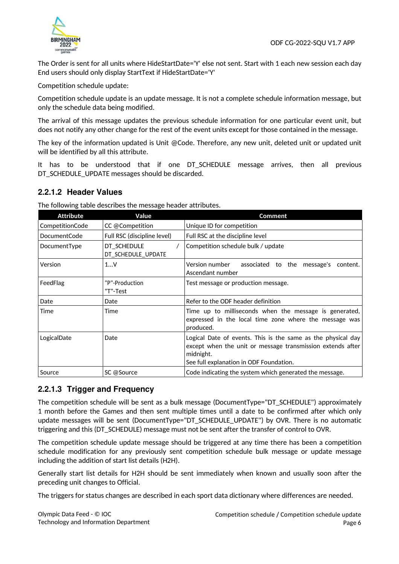

The Order is sent for all units where HideStartDate='Y' else not sent. Start with 1 each new session each day End users should only display StartText if HideStartDate='Y'

Competition schedule update:

Competition schedule update is an update message. It is not a complete schedule information message, but only the schedule data being modified.

The arrival of this message updates the previous schedule information for one particular event unit, but does not notify any other change for the rest of the event units except for those contained in the message.

The key of the information updated is Unit @Code. Therefore, any new unit, deleted unit or updated unit will be identified by all this attribute.

It has to be understood that if one DT\_SCHEDULE message arrives, then all previous DT\_SCHEDULE\_UPDATE messages should be discarded.

# **2.2.1.2 Header Values**

|                  | The following table describes the message header attributes. |                                                                                                                                                                                    |
|------------------|--------------------------------------------------------------|------------------------------------------------------------------------------------------------------------------------------------------------------------------------------------|
| <b>Attribute</b> | Value                                                        | <b>Comment</b>                                                                                                                                                                     |
| CompetitionCode  | CC @Competition                                              | Unique ID for competition                                                                                                                                                          |
| DocumentCode     | Full RSC (discipline level)                                  | Full RSC at the discipline level                                                                                                                                                   |
| DocumentType     | DT SCHEDULE<br>DT_SCHEDULE_UPDATE                            | Competition schedule bulk / update                                                                                                                                                 |
| Version          | 1V                                                           | Version number<br>associated to the message's content.<br>Ascendant number                                                                                                         |
| FeedFlag         | "P"-Production<br>"T"-Test                                   | Test message or production message.                                                                                                                                                |
| Date             | Date                                                         | Refer to the ODF header definition                                                                                                                                                 |
| Time             | Time                                                         | Time up to milliseconds when the message is generated,<br>expressed in the local time zone where the message was<br>produced.                                                      |
| LogicalDate      | Date                                                         | Logical Date of events. This is the same as the physical day<br>except when the unit or message transmission extends after<br>midnight.<br>See full explanation in ODF Foundation. |
| Source           | SC @Source                                                   | Code indicating the system which generated the message.                                                                                                                            |
|                  |                                                              |                                                                                                                                                                                    |

The following table describes the message header attributes.

# **2.2.1.3 Trigger and Frequency**

The competition schedule will be sent as a bulk message (DocumentType="DT\_SCHEDULE") approximately 1 month before the Games and then sent multiple times until a date to be confirmed after which only update messages will be sent (DocumentType="DT\_SCHEDULE\_UPDATE") by OVR. There is no automatic triggering and this (DT\_SCHEDULE) message must not be sent after the transfer of control to OVR.

The competition schedule update message should be triggered at any time there has been a competition schedule modification for any previously sent competition schedule bulk message or update message including the addition of start list details (H2H).

Generally start list details for H2H should be sent immediately when known and usually soon after the preceding unit changes to Official.

The triggers for status changes are described in each sport data dictionary where differences are needed.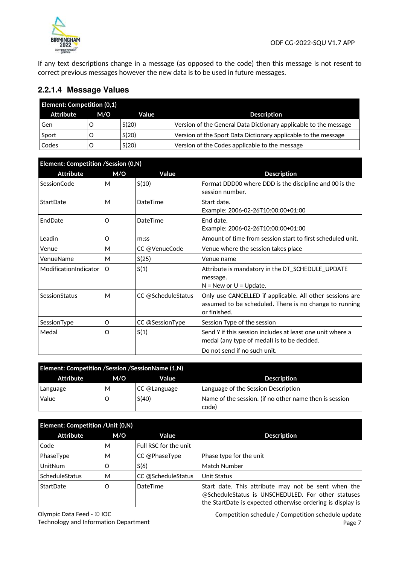

If any text descriptions change in a message (as opposed to the code) then this message is not resent to correct previous messages however the new data is to be used in future messages.

# **2.2.1.4 Message Values**

| <b>Element: Competition (0,1)</b> |     |       |                                                                  |
|-----------------------------------|-----|-------|------------------------------------------------------------------|
| Attribute                         | M/O | Value | <b>Description</b>                                               |
| Gen                               |     | S(20) | Version of the General Data Dictionary applicable to the message |
| Sport                             |     | S(20) | Version of the Sport Data Dictionary applicable to the message   |
| Codes                             |     | S(20) | Version of the Codes applicable to the message                   |

| Element: Competition /Session (0,N) |          |                    |                                                                                                                                    |
|-------------------------------------|----------|--------------------|------------------------------------------------------------------------------------------------------------------------------------|
| Attribute                           | M/O      | Value              | <b>Description</b>                                                                                                                 |
| SessionCode                         | M        | S(10)              | Format DDD00 where DDD is the discipline and 00 is the<br>session number.                                                          |
| StartDate                           | M        | DateTime           | Start date.<br>Example: 2006-02-26T10:00:00+01:00                                                                                  |
| EndDate                             | O        | DateTime           | End date.<br>Example: 2006-02-26T10:00:00+01:00                                                                                    |
| Leadin                              | O        | m:ss               | Amount of time from session start to first scheduled unit.                                                                         |
| Venue                               | М        | CC @VenueCode      | Venue where the session takes place                                                                                                |
| VenueName                           | M        | S(25)              | Venue name                                                                                                                         |
| ModificationIndicator               | $\Omega$ | S(1)               | Attribute is mandatory in the DT_SCHEDULE_UPDATE<br>message.<br>$N = New$ or $U = Update$ .                                        |
| SessionStatus                       | M        | CC @ScheduleStatus | Only use CANCELLED if applicable. All other sessions are<br>assumed to be scheduled. There is no change to running<br>or finished. |
| SessionType                         | O        | CC @SessionType    | Session Type of the session                                                                                                        |
| Medal                               | O        | S(1)               | Send Y if this session includes at least one unit where a<br>medal (any type of medal) is to be decided.                           |
|                                     |          |                    | Do not send if no such unit.                                                                                                       |

| <b>Element: Competition / Session / Session Name (1, N)</b> |     |              |                                                                 |
|-------------------------------------------------------------|-----|--------------|-----------------------------------------------------------------|
| Attribute                                                   | M/O | Value        | <b>Description</b>                                              |
| Language                                                    | М   | CC @Language | Language of the Session Description                             |
| Value                                                       |     | S(40)        | Name of the session. (if no other name then is session<br>code) |

| <b>Element: Competition / Unit (0,N)</b> |     |                       |                                                                                                                                                                         |
|------------------------------------------|-----|-----------------------|-------------------------------------------------------------------------------------------------------------------------------------------------------------------------|
| <b>Attribute</b>                         | M/O | Value                 | <b>Description</b>                                                                                                                                                      |
| Code                                     | м   | Full RSC for the unit |                                                                                                                                                                         |
| PhaseType                                | м   | CC @PhaseType         | Phase type for the unit                                                                                                                                                 |
| <b>UnitNum</b>                           | Ω   | S(6)                  | Match Number                                                                                                                                                            |
| ScheduleStatus                           | M   | CC @ScheduleStatus    | Unit Status                                                                                                                                                             |
| StartDate                                | O   | DateTime              | Start date. This attribute may not be sent when the<br>@ScheduleStatus is UNSCHEDULED. For other statuses<br>the StartDate is expected otherwise ordering is display is |

Olympic Data Feed - © IOC Technology and Information Department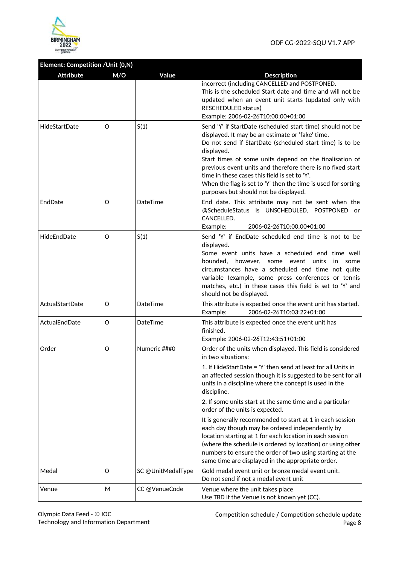

# **Element: Competition /Unit (0,N)**

| <b>Attribute</b> | M/O | Value             | <b>Description</b>                                                                                                                                                                                                                                                                                                                                                                                                                                                           |
|------------------|-----|-------------------|------------------------------------------------------------------------------------------------------------------------------------------------------------------------------------------------------------------------------------------------------------------------------------------------------------------------------------------------------------------------------------------------------------------------------------------------------------------------------|
|                  |     |                   | incorrect (including CANCELLED and POSTPONED.<br>This is the scheduled Start date and time and will not be<br>updated when an event unit starts (updated only with<br>RESCHEDULED status)<br>Example: 2006-02-26T10:00:00+01:00                                                                                                                                                                                                                                              |
| HideStartDate    | O   | S(1)              | Send 'Y' if StartDate (scheduled start time) should not be<br>displayed. It may be an estimate or 'fake' time.<br>Do not send if StartDate (scheduled start time) is to be<br>displayed.<br>Start times of some units depend on the finalisation of<br>previous event units and therefore there is no fixed start<br>time in these cases this field is set to 'Y'.<br>When the flag is set to 'Y' then the time is used for sorting<br>purposes but should not be displayed. |
| EndDate          | O   | DateTime          | End date. This attribute may not be sent when the<br>@ScheduleStatus is UNSCHEDULED, POSTPONED<br>or<br>CANCELLED.<br>Example:<br>2006-02-26T10:00:00+01:00                                                                                                                                                                                                                                                                                                                  |
| HideEndDate      | O   | S(1)              | Send 'Y' if EndDate scheduled end time is not to be<br>displayed.<br>Some event units have a scheduled end time well<br>bounded, however, some event units<br>in<br>some<br>circumstances have a scheduled end time not quite<br>variable (example, some press conferences or tennis<br>matches, etc.) in these cases this field is set to 'Y' and<br>should not be displayed.                                                                                               |
| ActualStartDate  | O   | DateTime          | This attribute is expected once the event unit has started.<br>2006-02-26T10:03:22+01:00<br>Example:                                                                                                                                                                                                                                                                                                                                                                         |
| ActualEndDate    | O   | DateTime          | This attribute is expected once the event unit has<br>finished.<br>Example: 2006-02-26T12:43:51+01:00                                                                                                                                                                                                                                                                                                                                                                        |
| Order            | O   | Numeric ###0      | Order of the units when displayed. This field is considered<br>in two situations:                                                                                                                                                                                                                                                                                                                                                                                            |
|                  |     |                   | 1. If HideStartDate = 'Y' then send at least for all Units in<br>an affected session though it is suggested to be sent for all<br>units in a discipline where the concept is used in the<br>discipline.                                                                                                                                                                                                                                                                      |
|                  |     |                   | 2. If some units start at the same time and a particular<br>order of the units is expected.                                                                                                                                                                                                                                                                                                                                                                                  |
|                  |     |                   | It is generally recommended to start at 1 in each session<br>each day though may be ordered independently by<br>location starting at 1 for each location in each session<br>(where the schedule is ordered by location) or using other<br>numbers to ensure the order of two using starting at the<br>same time are displayed in the appropriate order.                                                                                                                      |
| Medal            | O   | SC @UnitMedalType | Gold medal event unit or bronze medal event unit.<br>Do not send if not a medal event unit                                                                                                                                                                                                                                                                                                                                                                                   |
| Venue            | Μ   | CC @VenueCode     | Venue where the unit takes place<br>Use TBD if the Venue is not known yet (CC).                                                                                                                                                                                                                                                                                                                                                                                              |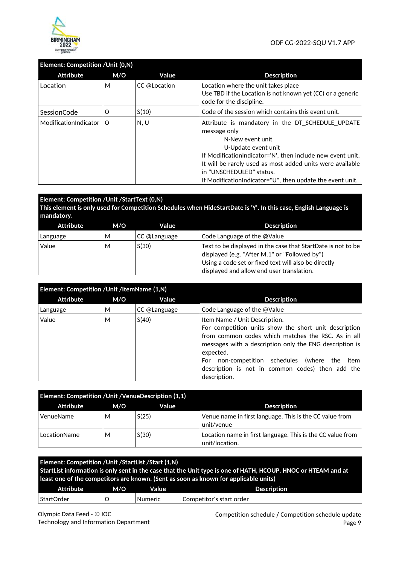

# **Element: Competition /Unit (0,N)**

| <b>Attribute</b>          | M/O | Value        | <b>Description</b>                                                                                                                                                                                                                                                                                                                |
|---------------------------|-----|--------------|-----------------------------------------------------------------------------------------------------------------------------------------------------------------------------------------------------------------------------------------------------------------------------------------------------------------------------------|
| Location                  | M   | CC @Location | Location where the unit takes place<br>Use TBD if the Location is not known yet (CC) or a generic<br>code for the discipline.                                                                                                                                                                                                     |
| SessionCode               | O   | S(10)        | Code of the session which contains this event unit.                                                                                                                                                                                                                                                                               |
| ModificationIndicator   O |     | N, U         | Attribute is mandatory in the DT SCHEDULE UPDATE<br>message only<br>N-New event unit<br>U-Update event unit<br>If Modification Indicator='N', then include new event unit.<br>It will be rarely used as most added units were available<br>in "UNSCHEDULED" status.<br>If Modification Indicator="U", then update the event unit. |

| <b>Element: Competition / Unit / StartText (0,N)</b><br>mandatory. |     |              | This element is only used for Competition Schedules when HideStartDate is 'Y'. In this case, English Language is                                                                                                   |
|--------------------------------------------------------------------|-----|--------------|--------------------------------------------------------------------------------------------------------------------------------------------------------------------------------------------------------------------|
| <b>Attribute</b>                                                   | M/O | Value        | <b>Description</b>                                                                                                                                                                                                 |
| Language                                                           | м   | CC @Language | Code Language of the @Value                                                                                                                                                                                        |
| Value                                                              | м   | S(30)        | Text to be displayed in the case that StartDate is not to be<br>displayed (e.g. "After M.1" or "Followed by")<br>Using a code set or fixed text will also be directly<br>displayed and allow end user translation. |

| Element: Competition / Unit / ItemName (1,N) |     |              |                                                                                                                                                                                                                                                                                                                                                 |
|----------------------------------------------|-----|--------------|-------------------------------------------------------------------------------------------------------------------------------------------------------------------------------------------------------------------------------------------------------------------------------------------------------------------------------------------------|
| Attribute                                    | M/O | Value        | <b>Description</b>                                                                                                                                                                                                                                                                                                                              |
| Language                                     | М   | CC @Language | Code Language of the @Value                                                                                                                                                                                                                                                                                                                     |
| Value                                        | м   | S(40)        | Item Name / Unit Description.<br>For competition units show the short unit description<br>from common codes which matches the RSC. As in all<br>messages with a description only the ENG description is<br>expected.<br>non-competition schedules (where the<br>For<br>item<br>description is not in common codes) then add the<br>description. |

| Element: Competition / Unit / Venue Description (1,1) |     |       |                                                                              |  |
|-------------------------------------------------------|-----|-------|------------------------------------------------------------------------------|--|
| Attribute                                             | M/O | Value | <b>Description</b>                                                           |  |
| VenueName                                             | м   | S(25) | Venue name in first language. This is the CC value from<br>unit/venue        |  |
| LocationName                                          | м   | S(30) | Location name in first language. This is the CC value from<br>unit/location. |  |

|            | Element: Competition / Unit / Start List / Start (1, N)<br>StartList information is only sent in the case that the Unit type is one of HATH, HCOUP, HNOC or HTEAM and at<br>least one of the competitors are known. (Sent as soon as known for applicable units) |         |                          |  |
|------------|------------------------------------------------------------------------------------------------------------------------------------------------------------------------------------------------------------------------------------------------------------------|---------|--------------------------|--|
| Attribute  | M/O<br>Value<br><b>Description</b>                                                                                                                                                                                                                               |         |                          |  |
| StartOrder |                                                                                                                                                                                                                                                                  | Numeric | Competitor's start order |  |

Olympic Data Feed - © IOC Technology and Information Department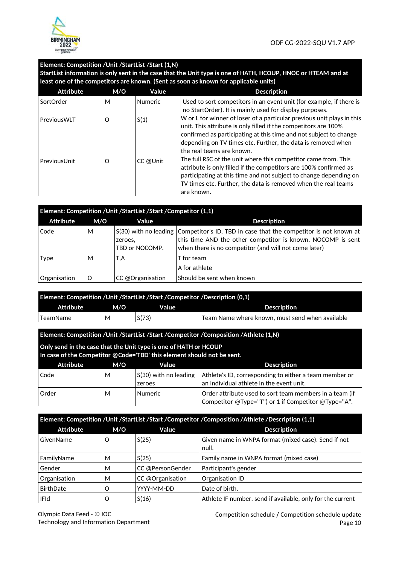

#### **Element: Competition /Unit /StartList /Start (1,N)**

**StartList information is only sent in the case that the Unit type is one of HATH, HCOUP, HNOC or HTEAM and at least one of the competitors are known. (Sent as soon as known for applicable units)** 

| <b>Attribute</b> | M/O      | Value          | <b>Description</b>                                                                                                                                                                                                                                                                                          |
|------------------|----------|----------------|-------------------------------------------------------------------------------------------------------------------------------------------------------------------------------------------------------------------------------------------------------------------------------------------------------------|
| SortOrder        | М        | <b>Numeric</b> | Used to sort competitors in an event unit (for example, if there is<br>no StartOrder). It is mainly used for display purposes.                                                                                                                                                                              |
| PreviousWLT      | $\Omega$ | S(1)           | W or L for winner of loser of a particular previous unit plays in this<br>unit. This attribute is only filled if the competitors are 100%<br>confirmed as participating at this time and not subject to change<br>depending on TV times etc. Further, the data is removed when<br>the real teams are known. |
| PreviousUnit     | O        | CC @Unit       | The full RSC of the unit where this competitor came from. This<br>attribute is only filled if the competitors are 100% confirmed as<br>participating at this time and not subject to change depending on<br>TV times etc. Further, the data is removed when the real teams<br>are known.                    |

| Element: Competition / Unit / StartList / Start / Competitor (1,1) |     |                           |                                                                                                                                                                                                                  |  |
|--------------------------------------------------------------------|-----|---------------------------|------------------------------------------------------------------------------------------------------------------------------------------------------------------------------------------------------------------|--|
| <b>Attribute</b>                                                   | M/O | Value                     | <b>Description</b>                                                                                                                                                                                               |  |
| Code                                                               | М   | zeroes.<br>TBD or NOCOMP. | $S(30)$ with no leading Competitor's ID, TBD in case that the competitor is not known at<br>this time AND the other competitor is known. NOCOMP is sent<br>when there is no competitor (and will not come later) |  |
| <b>Type</b>                                                        | м   | T.A                       | T for team<br>A for athlete                                                                                                                                                                                      |  |
| Organisation                                                       | Ω   | CC @Organisation          | Should be sent when known                                                                                                                                                                                        |  |

| Element: Competition /Unit /StartList /Start /Competitor /Description (0.1) |     |       |                                                             |  |
|-----------------------------------------------------------------------------|-----|-------|-------------------------------------------------------------|--|
| Attribute                                                                   | M/O | Value | <b>Description</b>                                          |  |
| TeamName                                                                    | М   | S(73) | $\,$ ı Team Name where known. must send when available $\,$ |  |

#### **Element: Competition /Unit /StartList /Start /Competitor /Composition /Athlete (1,N)**

**Only send in the case that the Unit type is one of HATH or HCOUP** 

**In case of the Competitor @Code='TBD' this element should not be sent.**

| Attribute    | M/O | Value                                   | <b>Description</b>                                                                                             |
|--------------|-----|-----------------------------------------|----------------------------------------------------------------------------------------------------------------|
| Code         | М   | $\vert$ S(30) with no leading<br>zeroes | Athlete's ID, corresponding to either a team member or<br>an individual athlete in the event unit.             |
| <b>Order</b> | М   | <b>Numeric</b>                          | Order attribute used to sort team members in a team (if<br>Competitor @Type="T") or 1 if Competitor @Type="A". |

| Element: Competition /Unit /StartList /Start /Competitor /Composition /Athlete /Description (1,1) |     |                  |                                                              |
|---------------------------------------------------------------------------------------------------|-----|------------------|--------------------------------------------------------------|
| <b>Attribute</b>                                                                                  | M/O | Value            | <b>Description</b>                                           |
| GivenName                                                                                         | O   | S(25)            | Given name in WNPA format (mixed case). Send if not<br>null. |
| FamilyName                                                                                        | м   | S(25)            | Family name in WNPA format (mixed case)                      |
| Gender                                                                                            | М   | CC @PersonGender | Participant's gender                                         |
| Organisation                                                                                      | м   | CC @Organisation | Organisation ID                                              |
| BirthDate                                                                                         | Ω   | YYYY-MM-DD       | Date of birth.                                               |
| <b>IFId</b>                                                                                       | O   | S(16)            | Athlete IF number, send if available, only for the current   |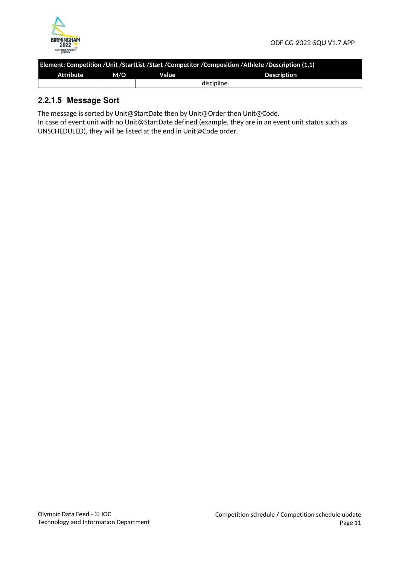

| Element: Competition /Unit /StartList /Start /Competitor /Composition /Athlete /Description (1,1) |  |  |  |  |
|---------------------------------------------------------------------------------------------------|--|--|--|--|
| Attribute<br>M/O<br><b>Description</b><br>Value                                                   |  |  |  |  |
| discipline.                                                                                       |  |  |  |  |

# **2.2.1.5 Message Sort**

The message is sorted by Unit@StartDate then by Unit@Order then Unit@Code.

In case of event unit with no Unit@StartDate defined (example, they are in an event unit status such as UNSCHEDULED), they will be listed at the end in Unit@Code order.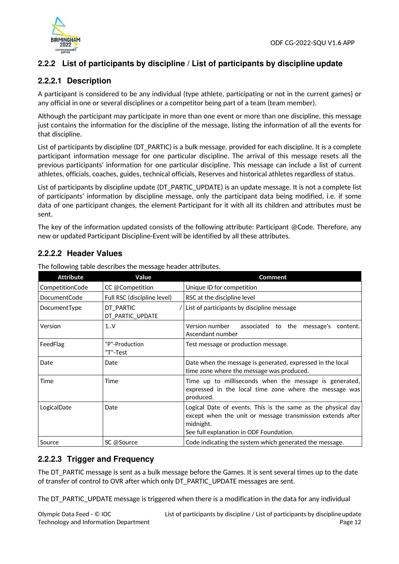

# **2.2.2 List of participants by discipline / List of participants by discipline update**

# **2.2.2.1 Description**

A participant is considered to be any individual (type athlete, participating or not in the current games) or any official in one or several disciplines or a competitor being part of a team (team member).

Although the participant may participate in more than one event or more than one discipline, this message just contains the information for the discipline of the message, listing the information of all the events for that discipline.

List of participants by discipline (DT\_PARTIC) is a bulk message, provided for each discipline. It is a complete participant information message for one particular discipline. The arrival of this message resets all the previous participants' information for one particular discipline. This message can include a list of current athletes, officials, coaches, guides, technical officials, Reserves and historical athletes regardless of status.

List of participants by discipline update (DT\_PARTIC\_UPDATE) is an update message. It is not a complete list of participants' information by discipline message, only the participant data being modified, i.e. if some data of one participant changes, the element Participant for it with all its children and attributes must be sent.

The key of the information updated consists of the following attribute: Participant @Code. Therefore, any new or updated Participant Discipline-Event will be identified by all these attributes.

# **2.2.2.2 Header Values**

| <b>Attribute</b>    | Value                         | <b>Comment</b>                                                                                                                                                                     |
|---------------------|-------------------------------|------------------------------------------------------------------------------------------------------------------------------------------------------------------------------------|
| CompetitionCode     | CC @Competition               | Unique ID for competition                                                                                                                                                          |
| <b>DocumentCode</b> | Full RSC (discipline level)   | RSC at the discipline level                                                                                                                                                        |
| DocumentType        | DT PARTIC<br>DT_PARTIC_UPDATE | List of participants by discipline message                                                                                                                                         |
| Version             | 1.0V                          | Version number<br>associated to the message's<br>content.<br>Ascendant number                                                                                                      |
| FeedFlag            | "P"-Production<br>"T"-Test    | Test message or production message.                                                                                                                                                |
| Date                | Date                          | Date when the message is generated, expressed in the local<br>time zone where the message was produced.                                                                            |
| Time                | Time                          | Time up to milliseconds when the message is generated,<br>expressed in the local time zone where the message was<br>produced.                                                      |
| LogicalDate         | Date                          | Logical Date of events. This is the same as the physical day<br>except when the unit or message transmission extends after<br>midnight.<br>See full explanation in ODF Foundation. |
| Source              | SC @Source                    | Code indicating the system which generated the message.                                                                                                                            |

The following table describes the message header attributes.

# **2.2.2.3 Trigger and Frequency**

The DT\_PARTIC message is sent as a bulk message before the Games. It is sent several times up to the date of transfer of control to OVR after which only DT\_PARTIC\_UPDATE messages are sent.

The DT\_PARTIC\_UPDATE message is triggered when there is a modification in the data for any individual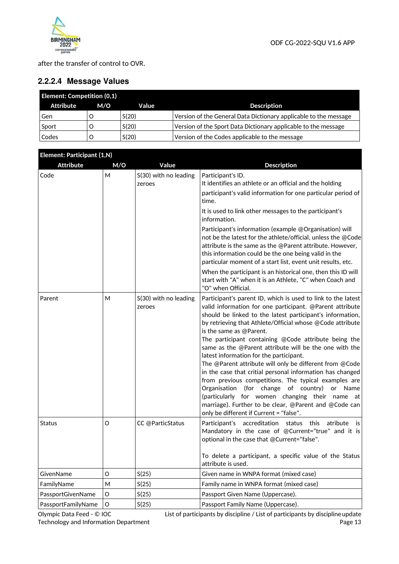

after the transfer of control to OVR.

# **2.2.2.4 Message Values**

| <b>Element: Competition (0,1)</b> |     |       |                                                                  |  |
|-----------------------------------|-----|-------|------------------------------------------------------------------|--|
| Attribute                         | M/O | Value | <b>Description</b>                                               |  |
| Gen                               |     | S(20) | Version of the General Data Dictionary applicable to the message |  |
| Sport                             |     | S(20) | Version of the Sport Data Dictionary applicable to the message   |  |
| Codes                             |     | S(20) | Version of the Codes applicable to the message                   |  |

| Element: Participant (1,N) |     |                                 |                                                                                                                                                                                                                                                                                                                                                                                                                                                                                                                                                                                                                                                                                                                                                                                                                                        |
|----------------------------|-----|---------------------------------|----------------------------------------------------------------------------------------------------------------------------------------------------------------------------------------------------------------------------------------------------------------------------------------------------------------------------------------------------------------------------------------------------------------------------------------------------------------------------------------------------------------------------------------------------------------------------------------------------------------------------------------------------------------------------------------------------------------------------------------------------------------------------------------------------------------------------------------|
| <b>Attribute</b>           | M/O | Value                           | <b>Description</b>                                                                                                                                                                                                                                                                                                                                                                                                                                                                                                                                                                                                                                                                                                                                                                                                                     |
| Code                       | M   | S(30) with no leading<br>zeroes | Participant's ID.<br>It identifies an athlete or an official and the holding<br>participant's valid information for one particular period of<br>time.<br>It is used to link other messages to the participant's<br>information.<br>Participant's information (example @Organisation) will<br>not be the latest for the athlete/official, unless the @Code<br>attribute is the same as the @Parent attribute. However,                                                                                                                                                                                                                                                                                                                                                                                                                  |
|                            |     |                                 | this information could be the one being valid in the<br>particular moment of a start list, event unit results, etc.<br>When the participant is an historical one, then this ID will<br>start with "A" when it is an Athlete, "C" when Coach and<br>"O" when Official.                                                                                                                                                                                                                                                                                                                                                                                                                                                                                                                                                                  |
| Parent                     | М   | S(30) with no leading<br>zeroes | Participant's parent ID, which is used to link to the latest<br>valid information for one participant. @Parent attribute<br>should be linked to the latest participant's information,<br>by retrieving that Athlete/Official whose @Code attribute<br>is the same as @Parent.<br>The participant containing @Code attribute being the<br>same as the @Parent attribute will be the one with the<br>latest information for the participant.<br>The @Parent attribute will only be different from @Code<br>in the case that critial personal information has changed<br>from previous competitions. The typical examples are<br>Organisation<br>(for change of country)<br>or Name<br>(particularly for women changing their name at<br>marriage). Further to be clear, @Parent and @Code can<br>only be different if Current = "false". |
| Status                     | O   | CC @ParticStatus                | Participant's accreditation<br>atribute<br>status<br>this<br><b>is</b><br>Mandatory in the case of @Current="true" and it is<br>optional in the case that @Current="false".<br>To delete a participant, a specific value of the Status<br>attribute is used.                                                                                                                                                                                                                                                                                                                                                                                                                                                                                                                                                                           |
| GivenName                  | O   | S(25)                           | Given name in WNPA format (mixed case)                                                                                                                                                                                                                                                                                                                                                                                                                                                                                                                                                                                                                                                                                                                                                                                                 |
| FamilyName                 | м   | S(25)                           | Family name in WNPA format (mixed case)                                                                                                                                                                                                                                                                                                                                                                                                                                                                                                                                                                                                                                                                                                                                                                                                |
| PassportGivenName          | O   | S(25)                           | Passport Given Name (Uppercase).                                                                                                                                                                                                                                                                                                                                                                                                                                                                                                                                                                                                                                                                                                                                                                                                       |
| PassportFamilyName         | O   | S(25)                           | Passport Family Name (Uppercase).                                                                                                                                                                                                                                                                                                                                                                                                                                                                                                                                                                                                                                                                                                                                                                                                      |

Olympic Data Feed - © IOC Technology and Information Department List of participants by discipline / List of participants by disciplineupdate Page 13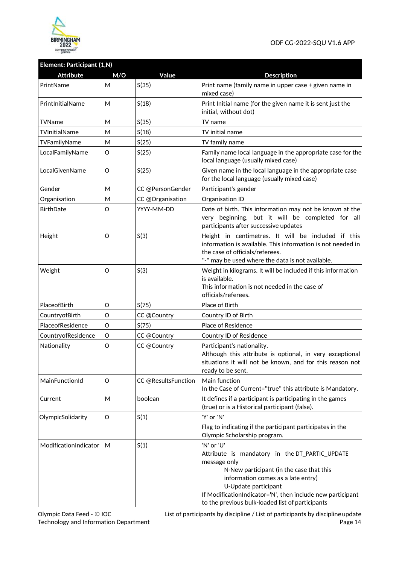

# **Element: Participant (1,N)**

| <b>Attribute</b>      | M/O | Value               | <b>Description</b>                                                                                                                                                                                                                                                                                       |
|-----------------------|-----|---------------------|----------------------------------------------------------------------------------------------------------------------------------------------------------------------------------------------------------------------------------------------------------------------------------------------------------|
| PrintName             | M   | S(35)               | Print name (family name in upper case + given name in<br>mixed case)                                                                                                                                                                                                                                     |
| PrintInitialName      | M   | S(18)               | Print Initial name (for the given name it is sent just the<br>initial, without dot)                                                                                                                                                                                                                      |
| TVName                | M   | S(35)               | TV name                                                                                                                                                                                                                                                                                                  |
| TVInitialName         | M   | S(18)               | TV initial name                                                                                                                                                                                                                                                                                          |
| TVFamilyName          | M   | S(25)               | TV family name                                                                                                                                                                                                                                                                                           |
| LocalFamilyName       | O   | S(25)               | Family name local language in the appropriate case for the<br>local language (usually mixed case)                                                                                                                                                                                                        |
| LocalGivenName        | O   | S(25)               | Given name in the local language in the appropriate case<br>for the local language (usually mixed case)                                                                                                                                                                                                  |
| Gender                | M   | CC @PersonGender    | Participant's gender                                                                                                                                                                                                                                                                                     |
| Organisation          | M   | CC @Organisation    | Organisation ID                                                                                                                                                                                                                                                                                          |
| <b>BirthDate</b>      | O   | YYYY-MM-DD          | Date of birth. This information may not be known at the<br>very beginning, but it will be completed for all<br>participants after successive updates                                                                                                                                                     |
| Height                | 0   | S(3)                | Height in centimetres. It will be included if this<br>information is available. This information is not needed in<br>the case of officials/referees.<br>"-" may be used where the data is not available.                                                                                                 |
| Weight                | O   | S(3)                | Weight in kilograms. It will be included if this information<br>is available.<br>This information is not needed in the case of<br>officials/referees.                                                                                                                                                    |
| PlaceofBirth          | O   | S(75)               | Place of Birth                                                                                                                                                                                                                                                                                           |
| CountryofBirth        | O   | CC @Country         | Country ID of Birth                                                                                                                                                                                                                                                                                      |
| PlaceofResidence      | O   | S(75)               | Place of Residence                                                                                                                                                                                                                                                                                       |
| CountryofResidence    | O   | CC @Country         | Country ID of Residence                                                                                                                                                                                                                                                                                  |
| Nationality           | O   | CC @Country         | Participant's nationality.<br>Although this attribute is optional, in very exceptional<br>situations it will not be known, and for this reason not<br>ready to be sent.                                                                                                                                  |
| MainFunctionId        | 0   | CC @ResultsFunction | Main function<br>In the Case of Current="true" this attribute is Mandatory.                                                                                                                                                                                                                              |
| Current               | M   | boolean             | It defines if a participant is participating in the games<br>(true) or is a Historical participant (false).                                                                                                                                                                                              |
| OlympicSolidarity     | O   | S(1)                | 'Y' or 'N'                                                                                                                                                                                                                                                                                               |
|                       |     |                     | Flag to indicating if the participant participates in the<br>Olympic Scholarship program.                                                                                                                                                                                                                |
| ModificationIndicator | М   | S(1)                | 'N' or 'U'<br>Attribute is mandatory in the DT_PARTIC_UPDATE<br>message only<br>N-New participant (in the case that this<br>information comes as a late entry)<br>U-Update participant<br>If ModificationIndicator='N', then include new participant<br>to the previous bulk-loaded list of participants |

List of participants by discipline / List of participants by disciplineupdate Page 14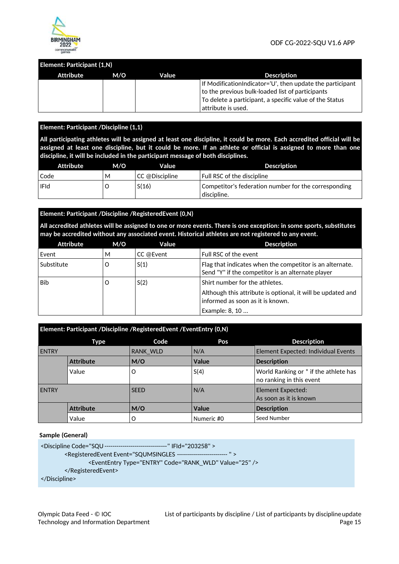

#### **Element: Participant (1,N)**

| Attribute | M/O | Value | <b>Description</b>                                        |
|-----------|-----|-------|-----------------------------------------------------------|
|           |     |       | If ModificationIndicator='U', then update the participant |
|           |     |       | to the previous bulk-loaded list of participants          |
|           |     |       | To delete a participant, a specific value of the Status   |
|           |     |       | $^\shortparallel$ attribute is used.                      |

#### **Element: Participant /Discipline (1,1)**

**All participating athletes will be assigned at least one discipline, it could be more. Each accredited official will be assigned at least one discipline, but it could be more. If an athlete or official is assigned to more than one discipline, it will be included in the participant message of both disciplines.** 

| Attribute   | M/O | Value          | <b>Description</b>                                                  |
|-------------|-----|----------------|---------------------------------------------------------------------|
| Code        | М   | CC @Discipline | Full RSC of the discipline                                          |
| <b>IFId</b> |     | S(16)          | Competitor's federation number for the corresponding<br>discipline. |

#### **Element: Participant /Discipline /RegisteredEvent (0,N)**

**All accredited athletes will be assigned to one or more events. There is one exception: in some sports, substitutes may be accredited without any associated event. Historical athletes are not registered to any event.** 

| Attribute  | M/O | Value     | <b>Description</b>                                                                                                                                  |  |
|------------|-----|-----------|-----------------------------------------------------------------------------------------------------------------------------------------------------|--|
| Event      | м   | CC @Event | Full RSC of the event                                                                                                                               |  |
| Substitute | O   | S(1)      | Flag that indicates when the competitor is an alternate.<br>Send "Y" if the competitor is an alternate player                                       |  |
| Bib        | O   | S(2)      | Shirt number for the athletes.<br>Although this attribute is optional, it will be updated and<br>informed as soon as it is known.<br>Example: 8, 10 |  |

| Element: Participant /Discipline /RegisteredEvent /EventEntry (0,N) |                  |                 |              |                                                                   |  |  |
|---------------------------------------------------------------------|------------------|-----------------|--------------|-------------------------------------------------------------------|--|--|
|                                                                     | Type             | Code            | Pos          | <b>Description</b>                                                |  |  |
| <b>ENTRY</b>                                                        |                  | <b>RANK WLD</b> | N/A          | Element Expected: Individual Events                               |  |  |
|                                                                     | <b>Attribute</b> | M/O             | Value        | <b>Description</b>                                                |  |  |
|                                                                     | Value            | O               | S(4)         | World Ranking or * if the athlete has<br>no ranking in this event |  |  |
| <b>ENTRY</b>                                                        |                  | <b>SEED</b>     | N/A          | Element Expected:<br>As soon as it is known                       |  |  |
|                                                                     | <b>Attribute</b> | M/O             | <b>Value</b> | <b>Description</b>                                                |  |  |
|                                                                     | Value            | O               | Numeric #0   | Seed Number                                                       |  |  |

#### **Sample (General)**

```
<Discipline Code="SQU ------------------------------- " IFId="203258" > 
        <RegisteredEvent Event="SQUMSINGLES ------------------------- " > 
                 <EventEntry Type="ENTRY" Code="RANK_WLD" Value="25" /> 
        </RegisteredEvent> 
</Discipline>
```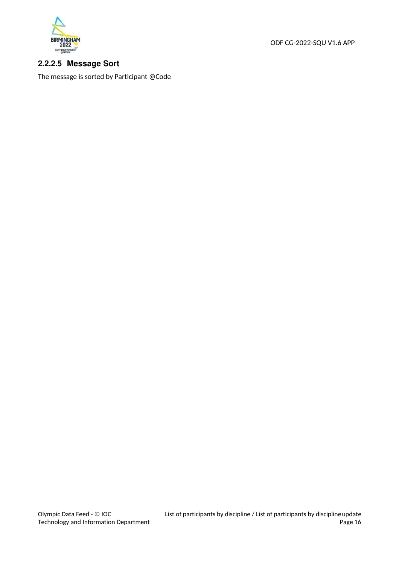

ODF CG-2022-SQU V1.6 APP

# **2.2.2.5 Message Sort**

The message is sorted by Participant @Code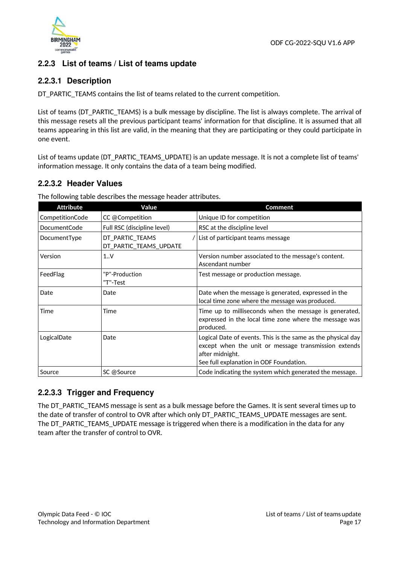

# **2.2.3 List of teams / List of teams update**

# **2.2.3.1 Description**

DT\_PARTIC\_TEAMS contains the list of teams related to the current competition.

List of teams (DT\_PARTIC\_TEAMS) is a bulk message by discipline. The list is always complete. The arrival of this message resets all the previous participant teams' information for that discipline. It is assumed that all teams appearing in this list are valid, in the meaning that they are participating or they could participate in one event.

List of teams update (DT\_PARTIC\_TEAMS\_UPDATE) is an update message. It is not a complete list of teams' information message. It only contains the data of a team being modified.

# **2.2.3.2 Header Values**

The following table describes the message header attributes.

| <b>Attribute</b>    | Value                                     | <b>Comment</b>                                                                                                                                                                     |
|---------------------|-------------------------------------------|------------------------------------------------------------------------------------------------------------------------------------------------------------------------------------|
| CompetitionCode     | CC @Competition                           | Unique ID for competition                                                                                                                                                          |
| <b>DocumentCode</b> | Full RSC (discipline level)               | RSC at the discipline level                                                                                                                                                        |
| DocumentType        | DT_PARTIC_TEAMS<br>DT_PARTIC_TEAMS_UPDATE | / List of participant teams message                                                                                                                                                |
| Version             | 1.0V                                      | Version number associated to the message's content.<br>Ascendant number                                                                                                            |
| FeedFlag            | "P"-Production<br>"T"-Test                | Test message or production message.                                                                                                                                                |
| Date                | Date                                      | Date when the message is generated, expressed in the<br>local time zone where the message was produced.                                                                            |
| Time                | Time                                      | Time up to milliseconds when the message is generated,<br>expressed in the local time zone where the message was<br>produced.                                                      |
| LogicalDate         | Date                                      | Logical Date of events. This is the same as the physical day<br>except when the unit or message transmission extends<br>after midnight.<br>See full explanation in ODF Foundation. |
| Source              | SC @Source                                | Code indicating the system which generated the message.                                                                                                                            |

### **2.2.3.3 Trigger and Frequency**

The DT\_PARTIC\_TEAMS message is sent as a bulk message before the Games. It is sent several times up to the date of transfer of control to OVR after which only DT\_PARTIC\_TEAMS\_UPDATE messages are sent. The DT\_PARTIC\_TEAMS\_UPDATE message is triggered when there is a modification in the data for any team after the transfer of control to OVR.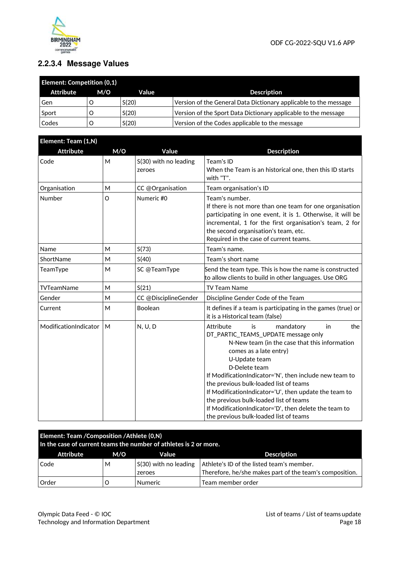

# **2.2.3.4 Message Values**

| <b>Element: Competition (0,1)</b> |     |       |                                                                  |  |  |  |
|-----------------------------------|-----|-------|------------------------------------------------------------------|--|--|--|
| Attribute                         | M/O | Value | <b>Description</b>                                               |  |  |  |
| Gen                               |     | S(20) | Version of the General Data Dictionary applicable to the message |  |  |  |
| Sport                             |     | S(20) | Version of the Sport Data Dictionary applicable to the message   |  |  |  |
| Codes                             |     | S(20) | Version of the Codes applicable to the message                   |  |  |  |

| Element: Team (1,N)   |     |                                 |                                                                                                                                                                                                                                                                                                                                                                                                                                                                                                         |  |  |
|-----------------------|-----|---------------------------------|---------------------------------------------------------------------------------------------------------------------------------------------------------------------------------------------------------------------------------------------------------------------------------------------------------------------------------------------------------------------------------------------------------------------------------------------------------------------------------------------------------|--|--|
| <b>Attribute</b>      | M/O | Value                           | <b>Description</b>                                                                                                                                                                                                                                                                                                                                                                                                                                                                                      |  |  |
| Code                  | M   | S(30) with no leading<br>zeroes | Team's ID<br>When the Team is an historical one, then this ID starts<br>with "T".                                                                                                                                                                                                                                                                                                                                                                                                                       |  |  |
| Organisation          | M   | CC @Organisation                | Team organisation's ID                                                                                                                                                                                                                                                                                                                                                                                                                                                                                  |  |  |
| Number                | O   | Numeric #0                      | Team's number.<br>If there is not more than one team for one organisation<br>participating in one event, it is 1. Otherwise, it will be<br>incremental, 1 for the first organisation's team, 2 for<br>the second organisation's team, etc.<br>Required in the case of current teams.                                                                                                                                                                                                                    |  |  |
| Name                  | M   | S(73)                           | Team's name.                                                                                                                                                                                                                                                                                                                                                                                                                                                                                            |  |  |
| ShortName             | M   | S(40)                           | Team's short name                                                                                                                                                                                                                                                                                                                                                                                                                                                                                       |  |  |
| TeamType              | М   | SC @TeamType                    | Send the team type. This is how the name is constructed<br>to allow clients to build in other languages. Use ORG                                                                                                                                                                                                                                                                                                                                                                                        |  |  |
| TVTeamName            | M   | S(21)                           | <b>TV Team Name</b>                                                                                                                                                                                                                                                                                                                                                                                                                                                                                     |  |  |
| Gender                | м   | CC @DisciplineGender            | Discipline Gender Code of the Team                                                                                                                                                                                                                                                                                                                                                                                                                                                                      |  |  |
| Current               | M   | Boolean                         | It defines if a team is participating in the games (true) or<br>it is a Historical team (false)                                                                                                                                                                                                                                                                                                                                                                                                         |  |  |
| ModificationIndicator | M   | N, U, D                         | Attribute<br>the<br>is<br>mandatory<br>in<br>DT_PARTIC_TEAMS_UPDATE message only<br>N-New team (in the case that this information<br>comes as a late entry)<br>U-Update team<br>D-Delete team<br>If ModificationIndicator='N', then include new team to<br>the previous bulk-loaded list of teams<br>If ModificationIndicator='U', then update the team to<br>the previous bulk-loaded list of teams<br>If ModificationIndicator='D', then delete the team to<br>the previous bulk-loaded list of teams |  |  |

| Element: Team / Composition / Athlete (0,N)<br>In the case of current teams the number of athletes is 2 or more. |                                    |                                 |                                                                                                      |  |  |  |  |  |
|------------------------------------------------------------------------------------------------------------------|------------------------------------|---------------------------------|------------------------------------------------------------------------------------------------------|--|--|--|--|--|
| Attribute                                                                                                        | <b>Description</b><br>M/O<br>Value |                                 |                                                                                                      |  |  |  |  |  |
| Code                                                                                                             | M                                  | S(30) with no leading<br>zeroes | Athlete's ID of the listed team's member.<br>Therefore, he/she makes part of the team's composition. |  |  |  |  |  |
| Order                                                                                                            |                                    | <b>Numeric</b>                  | Team member order                                                                                    |  |  |  |  |  |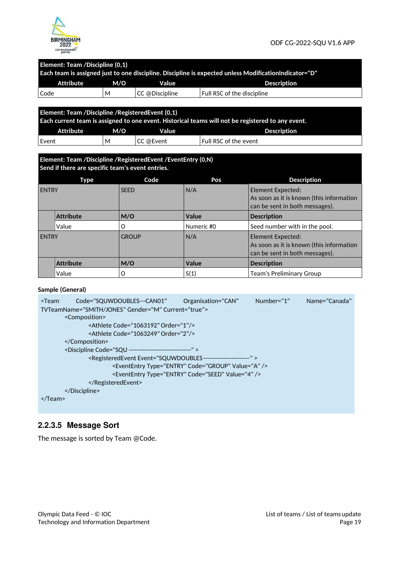

#### **Element: Team /Discipline (0,1)**

| "Each team is assigned just to one discipline. Discipline is expected unless Modification Indicator="D |   |                |                            |  |  |  |  |  |
|--------------------------------------------------------------------------------------------------------|---|----------------|----------------------------|--|--|--|--|--|
| Attribute<br>M/O<br><b>Description</b><br>Value                                                        |   |                |                            |  |  |  |  |  |
| Code                                                                                                   | м | CC @Discipline | Full RSC of the discipline |  |  |  |  |  |
|                                                                                                        |   |                |                            |  |  |  |  |  |
| Element: Team / Discipline / Registered Event (0,1)                                                    |   |                |                            |  |  |  |  |  |
| Each current team is assigned to one event. Historical teams will not be registered to any event.      |   |                |                            |  |  |  |  |  |

| Exercised community assigned to one or entring moderness teams that we registed on to any or entri |     |           |                       |  |  |  |
|----------------------------------------------------------------------------------------------------|-----|-----------|-----------------------|--|--|--|
| <b>Attribute</b>                                                                                   | M/O | Value     | <b>Description</b>    |  |  |  |
| ' Event                                                                                            | м   | CC @Event | Full RSC of the event |  |  |  |

# **Element: Team /Discipline /RegisteredEvent /EventEntry (0,N)**

|                  | Send if there are specific team's event entries. |              |            |                                                                                                 |  |  |  |
|------------------|--------------------------------------------------|--------------|------------|-------------------------------------------------------------------------------------------------|--|--|--|
|                  | <b>Description</b>                               |              |            |                                                                                                 |  |  |  |
| <b>ENTRY</b>     |                                                  | <b>SEED</b>  | N/A        | Element Expected:<br>As soon as it is known (this information<br>can be sent in both messages). |  |  |  |
| <b>Attribute</b> |                                                  | M/O          | Value      | <b>Description</b>                                                                              |  |  |  |
|                  | Value                                            | O            | Numeric #0 | Seed number with in the pool.                                                                   |  |  |  |
| <b>ENTRY</b>     |                                                  | <b>GROUP</b> | N/A        | Element Expected:<br>As soon as it is known (this information<br>can be sent in both messages). |  |  |  |
|                  | <b>Attribute</b>                                 | M/O          | Value      | <b>Description</b>                                                                              |  |  |  |
|                  | Value                                            | O            | S(1)       | <b>Team's Preliminary Group</b>                                                                 |  |  |  |

#### **Sample (General)**

| <team< th=""><th>Code="SQUWDOUBLES---CAN01"</th><th>Organisation="CAN"</th><th>Number="1"</th><th>Name="Canada"</th></team<> | Code="SQUWDOUBLES---CAN01"                                                     | Organisation="CAN"                                            | Number="1" | Name="Canada" |
|------------------------------------------------------------------------------------------------------------------------------|--------------------------------------------------------------------------------|---------------------------------------------------------------|------------|---------------|
|                                                                                                                              | TVTeamName="SMITH/JONES" Gender="M" Current="true">                            |                                                               |            |               |
|                                                                                                                              | <composition></composition>                                                    |                                                               |            |               |
|                                                                                                                              | <athlete code="1063192" order="1"></athlete>                                   |                                                               |            |               |
|                                                                                                                              | <athlete code="1063249" order="2"></athlete>                                   |                                                               |            |               |
|                                                                                                                              |                                                                                |                                                               |            |               |
|                                                                                                                              | <discipline code="SQU -------------------------------"></discipline>           |                                                               |            |               |
|                                                                                                                              | <registeredevent event="SQUWDOUBLES-----------------------"></registeredevent> |                                                               |            |               |
|                                                                                                                              |                                                                                | <evententry code="GROUP" type="ENTRY" value="A"></evententry> |            |               |
|                                                                                                                              |                                                                                | <evententry code="SEED" type="ENTRY" value="4"></evententry>  |            |               |
|                                                                                                                              |                                                                                |                                                               |            |               |
|                                                                                                                              |                                                                                |                                                               |            |               |
| $\langle$ Team>                                                                                                              |                                                                                |                                                               |            |               |

# **2.2.3.5 Message Sort**

The message is sorted by Team @Code.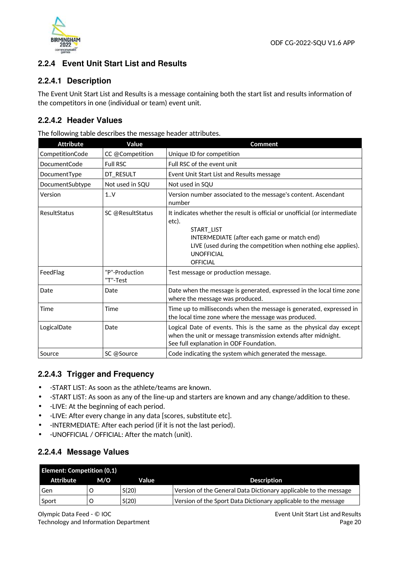

# **2.2.4 Event Unit Start List and Results**

# **2.2.4.1 Description**

The Event Unit Start List and Results is a message containing both the start list and results information of the competitors in one (individual or team) event unit.

# **2.2.4.2 Header Values**

The following table describes the message header attributes.

| <b>Attribute</b> | Value                      | <b>Comment</b>                                                                                                                                                                                                                                            |  |
|------------------|----------------------------|-----------------------------------------------------------------------------------------------------------------------------------------------------------------------------------------------------------------------------------------------------------|--|
| CompetitionCode  | CC @Competition            | Unique ID for competition                                                                                                                                                                                                                                 |  |
| DocumentCode     | <b>Full RSC</b>            | Full RSC of the event unit                                                                                                                                                                                                                                |  |
| DocumentType     | DT_RESULT                  | Event Unit Start List and Results message                                                                                                                                                                                                                 |  |
| DocumentSubtype  | Not used in SQU            | Not used in SQU                                                                                                                                                                                                                                           |  |
| Version          | 1.0 <sub>Y</sub>           | Version number associated to the message's content. Ascendant<br>number                                                                                                                                                                                   |  |
| ResultStatus     | SC @ResultStatus           | It indicates whether the result is official or unofficial (or intermediate<br>etc).<br>START_LIST<br>INTERMEDIATE (after each game or match end)<br>LIVE (used during the competition when nothing else applies).<br><b>UNOFFICIAL</b><br><b>OFFICIAL</b> |  |
| FeedFlag         | "P"-Production<br>"T"-Test | Test message or production message.                                                                                                                                                                                                                       |  |
| Date             | Date                       | Date when the message is generated, expressed in the local time zone<br>where the message was produced.                                                                                                                                                   |  |
| Time             | Time                       | Time up to milliseconds when the message is generated, expressed in<br>the local time zone where the message was produced.                                                                                                                                |  |
| LogicalDate      | Date                       | Logical Date of events. This is the same as the physical day except<br>when the unit or message transmission extends after midnight.<br>See full explanation in ODF Foundation.                                                                           |  |
| Source           | SC @Source                 | Code indicating the system which generated the message.                                                                                                                                                                                                   |  |

# **2.2.4.3 Trigger and Frequency**

- -START LIST: As soon as the athlete/teams are known.
- -START LIST: As soon as any of the line-up and starters are known and any change/addition to these.
- -LIVE: At the beginning of each period.
- -LIVE: After every change in any data [scores, substitute etc].
- -INTERMEDIATE: After each period (if it is not the last period).
- -UNOFFICIAL / OFFICIAL: After the match (unit).

# **2.2.4.4 Message Values**

|           | <b>Element: Competition (0,1)</b> |       |                                                                  |  |  |  |
|-----------|-----------------------------------|-------|------------------------------------------------------------------|--|--|--|
| Attribute | M/O                               | Value | <b>Description</b>                                               |  |  |  |
| Gen       |                                   | S(20) | Version of the General Data Dictionary applicable to the message |  |  |  |
| Sport     |                                   | S(20) | Version of the Sport Data Dictionary applicable to the message   |  |  |  |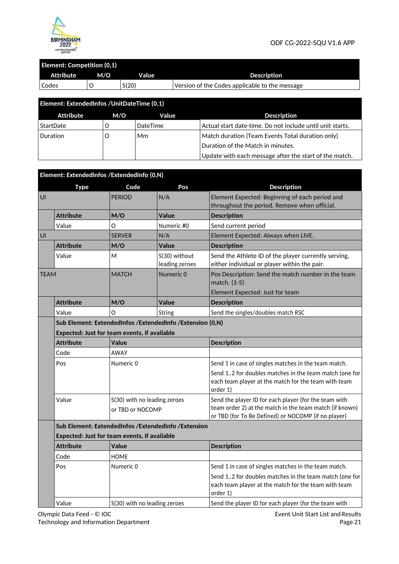

# **Element: Competition (0,1)**

| <b>Attribute</b> | M/O | Value | <b>Description</b>                             |
|------------------|-----|-------|------------------------------------------------|
| Codes            |     | S(20) | Version of the Codes applicable to the message |

| Element: ExtendedInfos / UnitDateTime (0,1) |     |          |                                                           |  |
|---------------------------------------------|-----|----------|-----------------------------------------------------------|--|
| Attribute                                   | M/O | Value    | <b>Description</b>                                        |  |
| StartDate                                   |     | DateTime | Actual start date-time. Do not include until unit starts. |  |
| Duration                                    |     | Mm       | Match duration (Team Events Total duration only)          |  |
|                                             |     |          | Duration of the Match in minutes.                         |  |
|                                             |     |          | Update with each message after the start of the match.    |  |

|             |                  | Element: ExtendedInfos / ExtendedInfo (0,N)      |                                                             |                                                                                                                                                                         |
|-------------|------------------|--------------------------------------------------|-------------------------------------------------------------|-------------------------------------------------------------------------------------------------------------------------------------------------------------------------|
|             | <b>Type</b>      | Code                                             | Pos                                                         | <b>Description</b>                                                                                                                                                      |
| UI          |                  | <b>PERIOD</b>                                    | N/A                                                         | Element Expected: Beginning of each period and<br>throughout the period. Remove when official.                                                                          |
|             | <b>Attribute</b> | M/O                                              | <b>Value</b>                                                | <b>Description</b>                                                                                                                                                      |
|             | Value            | O                                                | Numeric #0                                                  | Send current period                                                                                                                                                     |
| UI          |                  | <b>SERVER</b>                                    | N/A                                                         | Element Expected: Always when LIVE.                                                                                                                                     |
|             | <b>Attribute</b> | M/O                                              | Value                                                       | <b>Description</b>                                                                                                                                                      |
|             | Value            | М                                                | S(30) without<br>leading zeroes                             | Send the Athlete ID of the player currently serving,<br>either individual or player within the pair.                                                                    |
| <b>TEAM</b> |                  | <b>MATCH</b>                                     | Numeric 0                                                   | Pos Description: Send the match number in the team<br>match. (1-5)                                                                                                      |
|             |                  |                                                  |                                                             | Element Expected: Just for team                                                                                                                                         |
|             | <b>Attribute</b> | M/O                                              | Value                                                       | <b>Description</b>                                                                                                                                                      |
|             | Value            | O                                                | String                                                      | Send the singles/doubles match RSC                                                                                                                                      |
|             |                  |                                                  | Sub Element: ExtendedInfos / ExtendedInfo / Extension (0,N) |                                                                                                                                                                         |
|             |                  | Expected: Just for team events, if available     |                                                             |                                                                                                                                                                         |
|             | <b>Attribute</b> | Value                                            |                                                             | <b>Description</b>                                                                                                                                                      |
|             | Code             | <b>AWAY</b>                                      |                                                             |                                                                                                                                                                         |
|             | Pos              | Numeric 0                                        |                                                             | Send 1 in case of singles matches in the team match.                                                                                                                    |
|             |                  |                                                  |                                                             | Send 12 for doubles matches in the team match (one for<br>each team player at the match for the team with team<br>order 1)                                              |
|             | Value            | S(30) with no leading zeroes<br>or TBD or NOCOMP |                                                             | Send the player ID for each player (for the team with<br>team order 2) at the match in the team match (if known)<br>or TBD (for To Be Defined) or NOCOMP (if no player) |
|             |                  |                                                  | Sub Element: ExtendedInfos / ExtendedInfo / Extension       |                                                                                                                                                                         |
|             |                  | Expected: Just for team events, if available     |                                                             |                                                                                                                                                                         |
|             | <b>Attribute</b> | <b>Value</b>                                     |                                                             | <b>Description</b>                                                                                                                                                      |
|             | Code             | <b>HOME</b>                                      |                                                             |                                                                                                                                                                         |
|             | Pos              | Numeric 0                                        |                                                             | Send 1 in case of singles matches in the team match.                                                                                                                    |
|             |                  |                                                  |                                                             | Send 12 for doubles matches in the team match (one for<br>each team player at the match for the team with team<br>order 1)                                              |
|             | Value            | S(30) with no leading zeroes                     |                                                             | Send the player ID for each player (for the team with                                                                                                                   |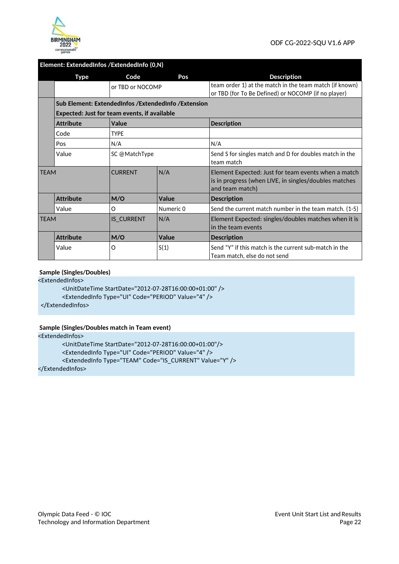

#### **Element: ExtendedInfos /ExtendedInfo (0,N)**

|             | Type                                                | Code              | Pos.      | <b>Description</b>                                                                                                              |  |
|-------------|-----------------------------------------------------|-------------------|-----------|---------------------------------------------------------------------------------------------------------------------------------|--|
|             |                                                     | or TBD or NOCOMP  |           | team order 1) at the match in the team match (if known)<br>or TBD (for To Be Defined) or NOCOMP (if no player)                  |  |
|             | Sub Element: ExtendedInfos /ExtendedInfo /Extension |                   |           |                                                                                                                                 |  |
|             | <b>Expected: Just for team events, if available</b> |                   |           |                                                                                                                                 |  |
|             | <b>Attribute</b>                                    | Value             |           | <b>Description</b>                                                                                                              |  |
|             | Code                                                | <b>TYPE</b>       |           |                                                                                                                                 |  |
|             | Pos                                                 | N/A               |           | N/A                                                                                                                             |  |
|             | Value                                               | SC @MatchType     |           | Send S for singles match and D for doubles match in the<br>team match                                                           |  |
| <b>TFAM</b> |                                                     | <b>CURRENT</b>    | N/A       | Element Expected: Just for team events when a match<br>is in progress (when LIVE, in singles/doubles matches<br>and team match) |  |
|             | <b>Attribute</b>                                    | M/O               | Value     | <b>Description</b>                                                                                                              |  |
|             | Value                                               | O                 | Numeric 0 | Send the current match number in the team match. (1-5)                                                                          |  |
| <b>TEAM</b> |                                                     | <b>IS CURRENT</b> | N/A       | Element Expected: singles/doubles matches when it is<br>in the team events                                                      |  |
|             | <b>Attribute</b>                                    | M/O               | Value     | <b>Description</b>                                                                                                              |  |
|             | Value                                               | O                 | S(1)      | Send "Y" if this match is the current sub-match in the<br>Team match, else do not send                                          |  |

#### **Sample (Singles/Doubles)**

<ExtendedInfos>

<UnitDateTime StartDate="2012-07-28T16:00:00+01:00" />

<ExtendedInfo Type="UI" Code="PERIOD" Value="4" />

</ExtendedInfos>

#### **Sample (Singles/Doubles match in Team event)**

<ExtendedInfos>

<UnitDateTime StartDate="2012-07-28T16:00:00+01:00"/>

<ExtendedInfo Type="UI" Code="PERIOD" Value="4" />

<ExtendedInfo Type="TEAM" Code="IS\_CURRENT" Value="Y" />

</ExtendedInfos>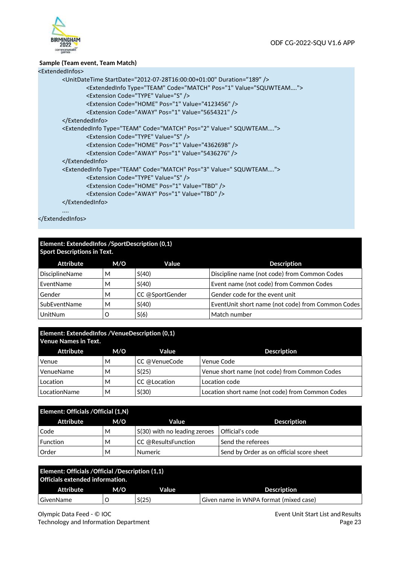

#### **Sample (Team event, Team Match)**

### <ExtendedInfos>

```
 <UnitDateTime StartDate="2012-07-28T16:00:00+01:00" Duration="189" /> 
         <ExtendedInfo Type="TEAM" Code="MATCH" Pos="1" Value="SQUWTEAM…."> 
         <Extension Code="TYPE" Value="S" /> 
         <Extension Code="HOME" Pos="1" Value="4123456" />
         <Extension Code="AWAY" Pos="1" Value="5654321" />
 </ExtendedInfo> 
 <ExtendedInfo Type="TEAM" Code="MATCH" Pos="2" Value=" SQUWTEAM…."> 
         <Extension Code="TYPE" Value="S" /> 
         <Extension Code="HOME" Pos="1" Value="4362698" />
         <Extension Code="AWAY" Pos="1" Value="5436276" />
 </ExtendedInfo> 
 <ExtendedInfo Type="TEAM" Code="MATCH" Pos="3" Value=" SQUWTEAM…."> 
         <Extension Code="TYPE" Value="S" /> 
         <Extension Code="HOME" Pos="1" Value="TBD" /> 
         <Extension Code="AWAY" Pos="1" Value="TBD" /> 
 </ExtendedInfo>
```
 .... </ExtendedInfos>

#### **Element: ExtendedInfos /SportDescription (0,1) Sport Descriptions in Text.**

| Attribute             | M/O | Value           | <b>Description</b>                                |
|-----------------------|-----|-----------------|---------------------------------------------------|
| <b>DisciplineName</b> | М   | S(40)           | Discipline name (not code) from Common Codes      |
| EventName             | М   | S(40)           | Event name (not code) from Common Codes           |
| Gender                | м   | CC @SportGender | Gender code for the event unit                    |
| SubEventName          | M   | S(40)           | EventUnit short name (not code) from Common Codes |
| UnitNum               |     | S(6)            | Match number                                      |

# **Element: ExtendedInfos /VenueDescription (0,1)**

| <b>Venue Names in Text.</b> |     |               |                                                  |  |
|-----------------------------|-----|---------------|--------------------------------------------------|--|
| Attribute                   | M/O | Value         | <b>Description</b>                               |  |
| Venue                       | М   | CC @VenueCode | Venue Code                                       |  |
| VenueName                   | М   | S(25)         | Venue short name (not code) from Common Codes    |  |
| Location                    | м   | CC @Location  | Location code                                    |  |
| LocationName                | М   | S(30)         | Location short name (not code) from Common Codes |  |

| Element: Officials / Official (1,N) |     |                                      |                                          |  |  |
|-------------------------------------|-----|--------------------------------------|------------------------------------------|--|--|
| Attribute                           | M/O | Value                                | <b>Description</b>                       |  |  |
| Code                                | м   | $\vert$ S(30) with no leading zeroes | Official's code                          |  |  |
| Function                            | м   | CC @ResultsFunction                  | Send the referees                        |  |  |
| Order                               | М   | <b>Numeric</b>                       | Send by Order as on official score sheet |  |  |

| <b>Element: Officials / Official / Description (1,1)</b><br>Officials extended information. |     |       |                                        |  |
|---------------------------------------------------------------------------------------------|-----|-------|----------------------------------------|--|
| Attribute                                                                                   | M/O | Value | <b>Description</b>                     |  |
| GivenName                                                                                   |     | S(25) | Given name in WNPA format (mixed case) |  |

Olympic Data Feed - © IOC Technology and Information Department Event Unit Start List and Results Page 23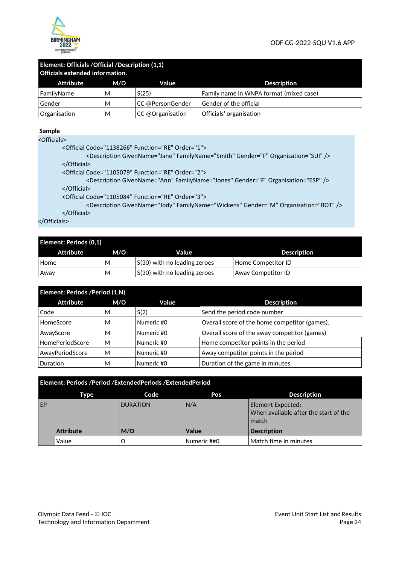

#### **Element: Officials /Official /Description (1,1) Officials extended information.**

| TUITICIAIS extended information. |     |                            |                                         |  |  |
|----------------------------------|-----|----------------------------|-----------------------------------------|--|--|
| Attribute                        | M/O | Value                      | <b>Description</b>                      |  |  |
| FamilyName                       | М   | S(25)                      | Family name in WNPA format (mixed case) |  |  |
| Gender                           | М   | CC @PersonGender           | Gender of the official                  |  |  |
| Organisation                     | М   | $ CC \oslash$ Organisation | Officials' organisation                 |  |  |

#### **Sample**

<Officials>

```
 <Official Code="1138266" Function="RE" Order="1"> 
                 <Description GivenName="Jane" FamilyName="Smith" Gender="F" Organisation="SUI" /> 
         </Official> 
         <Official Code="1105079" Function="RE" Order="2"> 
                  <Description GivenName="Ann" FamilyName="Jones" Gender="F" Organisation="ESP" /> 
         </Official> 
         <Official Code="1105084" Function="RE" Order="3"> 
                  <Description GivenName="Jody" FamilyName="Wickens" Gender="M" Organisation="BOT" /> 
         </Official> 
</Officials>
```

| Element: Periods (0,1) |     |                              |                    |  |  |
|------------------------|-----|------------------------------|--------------------|--|--|
| Attribute              | M/O | Value                        | <b>Description</b> |  |  |
| Home                   | М   | S(30) with no leading zeroes | Home Competitor ID |  |  |
| Away                   | М   | S(30) with no leading zeroes | Away Competitor ID |  |  |

| Element: Periods / Period (1,N) |     |            |                                               |  |
|---------------------------------|-----|------------|-----------------------------------------------|--|
| <b>Attribute</b>                | M/O | Value      | <b>Description</b>                            |  |
| Code                            | м   | S(2)       | Send the period code number                   |  |
| HomeScore                       | м   | Numeric #0 | Overall score of the home competitor (games). |  |
| AwayScore                       | м   | Numeric #0 | Overall score of the away competitor (games)  |  |
| <b>HomePeriodScore</b>          | M   | Numeric #0 | Home competitor points in the period          |  |
| AwayPeriodScore                 | M   | Numeric #0 | Away competitor points in the period          |  |
| Duration                        | м   | Numeric #0 | Duration of the game in minutes               |  |

|    | Element: Periods /Period /ExtendedPeriods /ExtendedPeriod |                 |             |                                                                            |  |
|----|-----------------------------------------------------------|-----------------|-------------|----------------------------------------------------------------------------|--|
|    | Type                                                      | Code            | Pos         | <b>Description</b>                                                         |  |
| EP |                                                           | <b>DURATION</b> | N/A         | <b>Element Expected:</b><br>When available after the start of the<br>match |  |
|    | <b>Attribute</b>                                          | M/O             | Value       | <b>Description</b>                                                         |  |
|    | Value                                                     | O               | Numeric ##0 | Match time in minutes                                                      |  |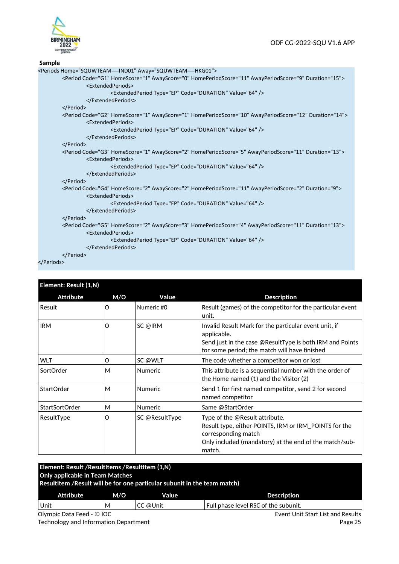

#### **Sample**

| <periods away="SQUWTEAM----HKG01" home="SQUWTEAM----IND01"></periods>                                                                                   |
|---------------------------------------------------------------------------------------------------------------------------------------------------------|
| <period awayperiodscore="9" awayscore="0" code="G1" duration="15" homeperiodscore="11" homescore="1"></period>                                          |
| <extendedperiods></extendedperiods>                                                                                                                     |
| <extendedperiod code="DURATION" type="EP" value="64"></extendedperiod>                                                                                  |
|                                                                                                                                                         |
|                                                                                                                                                         |
| <period awayperiodscore="12" awayscore="1" code="G2" duration="14" homeperiodscore="10" homescore="1"><br/><extendedperiods></extendedperiods></period> |
| <extendedperiod code="DURATION" type="EP" value="64"></extendedperiod>                                                                                  |
|                                                                                                                                                         |
|                                                                                                                                                         |
| <period awayperiodscore="11" awayscore="2" code="G3" duration="13" homeperiodscore="5" homescore="1"><br/><extendedperiods></extendedperiods></period>  |
| <extendedperiod code="DURATION" type="EP" value="64"></extendedperiod>                                                                                  |
|                                                                                                                                                         |
|                                                                                                                                                         |
| <period awayperiodscore="2" awayscore="2" code="G4" duration="9" homeperiodscore="11" homescore="2"><br/><extendedperiods></extendedperiods></period>   |
| <extendedperiod code="DURATION" type="EP" value="64"></extendedperiod>                                                                                  |
|                                                                                                                                                         |
|                                                                                                                                                         |
| <period awayperiodscore="11" awayscore="3" code="G5" duration="13" homeperiodscore="4" homescore="2"></period>                                          |
| <extendedperiods></extendedperiods>                                                                                                                     |
| <extendedperiod code="DURATION" type="EP" value="64"></extendedperiod>                                                                                  |
|                                                                                                                                                         |
|                                                                                                                                                         |
| $\lambda$ Doriodos                                                                                                                                      |

#### </Periods>

| Element: Result (1,N) |          |                |                                                                                                                                                                                    |
|-----------------------|----------|----------------|------------------------------------------------------------------------------------------------------------------------------------------------------------------------------------|
| <b>Attribute</b>      | M/O      | Value          | <b>Description</b>                                                                                                                                                                 |
| Result                | O        | Numeric #0     | Result (games) of the competitor for the particular event<br>unit.                                                                                                                 |
| <b>IRM</b>            | $\Omega$ | SC @IRM        | Invalid Result Mark for the particular event unit, if<br>applicable.<br>Send just in the case @ResultType is both IRM and Points<br>for some period; the match will have finished  |
| <b>WLT</b>            | O        | SC @WLT        | The code whether a competitor won or lost                                                                                                                                          |
| SortOrder             | М        | <b>Numeric</b> | This attribute is a sequential number with the order of<br>the Home named (1) and the Visitor (2)                                                                                  |
| StartOrder            | М        | <b>Numeric</b> | Send 1 for first named competitor, send 2 for second<br>named competitor                                                                                                           |
| <b>StartSortOrder</b> | М        | <b>Numeric</b> | Same @StartOrder                                                                                                                                                                   |
| ResultType            | O        | SC @ResultType | Type of the @Result attribute.<br>Result type, either POINTS, IRM or IRM_POINTS for the<br>corresponding match<br>Only included (mandatory) at the end of the match/sub-<br>match. |

| Element: Result / ResultItems / ResultItem (1,N)<br><b>Only applicable in Team Matches</b><br>ResultItem / Result will be for one particular subunit in the team match) |   |          |                                      |
|-------------------------------------------------------------------------------------------------------------------------------------------------------------------------|---|----------|--------------------------------------|
| <b>Attribute</b><br>M/O<br>Value                                                                                                                                        |   |          | <b>Description</b>                   |
| Unit                                                                                                                                                                    | м | CC @Unit | Full phase level RSC of the subunit. |
| Olympic Data Feed - © IOC                                                                                                                                               |   |          | Event Unit Start List and Results    |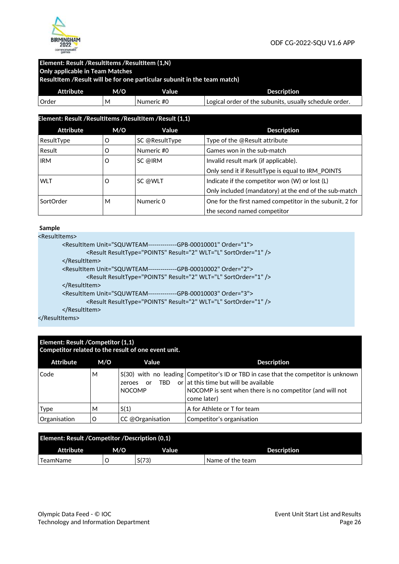

#### **Element: Result /ResultItems /ResultItem (1,N) Only applicable in Team Matches**

 **ResultItem /Result will be for one particular subunit in the team match)** 

| <b>Attribute</b> | M/O | Value      | <b>Description</b>                                     |
|------------------|-----|------------|--------------------------------------------------------|
| . Order          | M   | Numeric #0 | Logical order of the subunits, usually schedule order, |

| Element: Result /ResultItems /ResultItem /Result (1,1) |     |                |                                                          |
|--------------------------------------------------------|-----|----------------|----------------------------------------------------------|
| <b>Attribute</b>                                       | M/O | Value          | <b>Description</b>                                       |
| ResultType                                             | O   | SC @ResultType | Type of the @Result attribute                            |
| Result                                                 | O   | Numeric #0     | Games won in the sub-match                               |
| <b>IRM</b>                                             | O   | SC @IRM        | Invalid result mark (if applicable).                     |
|                                                        |     |                | Only send it if ResultType is equal to IRM_POINTS        |
| <b>WLT</b>                                             | O   | SC @WLT        | Indicate if the competitor won (W) or lost (L)           |
|                                                        |     |                | Only included (mandatory) at the end of the sub-match    |
| SortOrder                                              | м   | Numeric 0      | One for the first named competitor in the subunit, 2 for |
|                                                        |     |                | the second named competitor                              |

#### **Sample**

<ResultItems>

| <resultitem order="1" unit="SQUWTEAM--------------GPB-00010001"></resultitem> |
|-------------------------------------------------------------------------------|
| <result result="2" resulttype="POINTS" sortorder="1" wlt="L"></result>        |
|                                                                               |
| <resultitem order="2" unit="SQUWTEAM--------------GPB-00010002"></resultitem> |
| <result result="2" resulttype="POINTS" sortorder="1" wlt="L"></result>        |
|                                                                               |
| <resultitem order="3" unit="SQUWTEAM--------------GPB-00010003"></resultitem> |
| <result result="2" resulttype="POINTS" sortorder="1" wlt="L"></result>        |
|                                                                               |

</ResultItems>

#### **Element: Result /Competitor (1,1) Competitor related to the result of one event unit.**

| <b>Attribute</b> | M/O | Value                                 | <b>Description</b>                                                                                                                                                                                        |
|------------------|-----|---------------------------------------|-----------------------------------------------------------------------------------------------------------------------------------------------------------------------------------------------------------|
| Code             | м   | TRD.<br>or<br>zeroes<br><b>NOCOMP</b> | $S(30)$ with no leading Competitor's ID or TBD in case that the competitor is unknown<br>or at this time but will be available<br>NOCOMP is sent when there is no competitor (and will not<br>come later) |
| <b>Type</b>      | М   | S(1)                                  | A for Athlete or T for team                                                                                                                                                                               |
| Organisation     | O   | CC @Organisation                      | Competitor's organisation                                                                                                                                                                                 |

| Element: Result / Competitor / Description (0,1) |     |       |                  |
|--------------------------------------------------|-----|-------|------------------|
| Attribute                                        | M/O | Value | Description      |
| TeamName                                         |     | S(73) | Name of the team |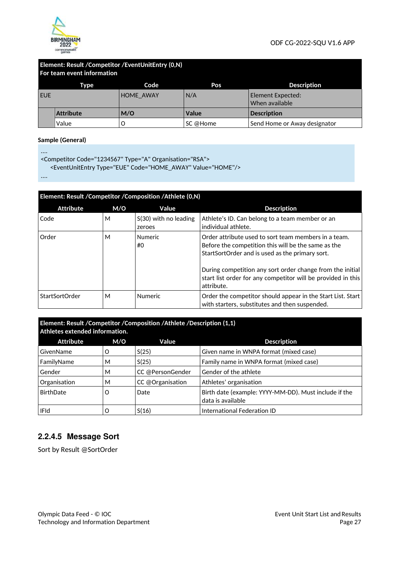

#### **Element: Result /Competitor /EventUnitEntry (0,N) For team event information**

|            | Type             | Code             | Pos      | <b>Description</b>                  |
|------------|------------------|------------------|----------|-------------------------------------|
| <b>EUE</b> |                  | <b>HOME AWAY</b> | N/A      | Element Expected:<br>When available |
|            | <b>Attribute</b> | M/O              | Value    | <b>Description</b>                  |
|            | Value            |                  | SC @Home | Send Home or Away designator        |

#### **Sample (General)**

....

<Competitor Code="1234567" Type="A" Organisation="RSA">

<EventUnitEntry Type="EUE" Code="HOME\_AWAY" Value="HOME"/>

....

| Element: Result / Competitor / Composition / Athlete (0,N) |     |                                   |                                                                                                                                                                                                                                                                                                           |
|------------------------------------------------------------|-----|-----------------------------------|-----------------------------------------------------------------------------------------------------------------------------------------------------------------------------------------------------------------------------------------------------------------------------------------------------------|
| <b>Attribute</b>                                           | M/O | Value                             | <b>Description</b>                                                                                                                                                                                                                                                                                        |
| Code                                                       | M   | $S(30)$ with no leading<br>zeroes | Athlete's ID. Can belong to a team member or an<br>individual athlete.                                                                                                                                                                                                                                    |
| Order                                                      | M   | <b>Numeric</b><br>#0              | Order attribute used to sort team members in a team.<br>Before the competition this will be the same as the<br>StartSortOrder and is used as the primary sort.<br>During competition any sort order change from the initial<br>start list order for any competitor will be provided in this<br>attribute. |
| <b>StartSortOrder</b>                                      | M   | <b>Numeric</b>                    | Order the competitor should appear in the Start List. Start  <br>with starters, substitutes and then suspended.                                                                                                                                                                                           |

#### **Element: Result /Competitor /Composition /Athlete /Description (1,1) Athletes extended information.**

| <b>Attribute</b> | M/O | Value            | <b>Description</b>                                                         |
|------------------|-----|------------------|----------------------------------------------------------------------------|
| GivenName        | Ω   | S(25)            | Given name in WNPA format (mixed case)                                     |
| FamilyName       | М   | S(25)            | Family name in WNPA format (mixed case)                                    |
| Gender           | м   | CC @PersonGender | Gender of the athlete                                                      |
| Organisation     | м   | CC @Organisation | Athletes' organisation                                                     |
| <b>BirthDate</b> | O   | Date             | Birth date (example: YYYY-MM-DD). Must include if the<br>data is available |
| <b>IFId</b>      |     | S(16)            | International Federation ID                                                |

# **2.2.4.5 Message Sort**

Sort by Result @SortOrder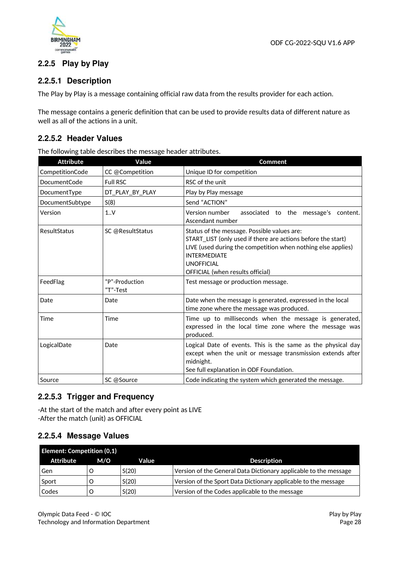

# **2.2.5 Play by Play**

# **2.2.5.1 Description**

The Play by Play is a message containing official raw data from the results provider for each action.

The message contains a generic definition that can be used to provide results data of different nature as well as all of the actions in a unit.

### **2.2.5.2 Header Values**

The following table describes the message header attributes.

| <b>Attribute</b>    | Value                      | Comment                                                                                                                                                                                                                                                     |
|---------------------|----------------------------|-------------------------------------------------------------------------------------------------------------------------------------------------------------------------------------------------------------------------------------------------------------|
| CompetitionCode     | CC @Competition            | Unique ID for competition                                                                                                                                                                                                                                   |
| <b>DocumentCode</b> | <b>Full RSC</b>            | RSC of the unit                                                                                                                                                                                                                                             |
| DocumentType        | DT_PLAY_BY_PLAY            | Play by Play message                                                                                                                                                                                                                                        |
| DocumentSubtype     | S(8)                       | Send "ACTION"                                                                                                                                                                                                                                               |
| Version             | 1.1V                       | Version number<br>associated to the message's content.<br>Ascendant number                                                                                                                                                                                  |
| ResultStatus        | SC @ResultStatus           | Status of the message. Possible values are:<br>START_LIST (only used if there are actions before the start)<br>LIVE (used during the competition when nothing else applies)<br><b>INTERMEDIATE</b><br><b>UNOFFICIAL</b><br>OFFICIAL (when results official) |
| FeedFlag            | "P"-Production<br>"T"-Test | Test message or production message.                                                                                                                                                                                                                         |
| Date                | Date                       | Date when the message is generated, expressed in the local<br>time zone where the message was produced.                                                                                                                                                     |
| Time                | Time                       | Time up to milliseconds when the message is generated,<br>expressed in the local time zone where the message was<br>produced.                                                                                                                               |
| LogicalDate         | Date                       | Logical Date of events. This is the same as the physical day<br>except when the unit or message transmission extends after<br>midnight.<br>See full explanation in ODF Foundation.                                                                          |
| Source              | SC @Source                 | Code indicating the system which generated the message.                                                                                                                                                                                                     |

# **2.2.5.3 Trigger and Frequency**

-At the start of the match and after every point as LIVE -After the match (unit) as OFFICIAL

### **2.2.5.4 Message Values**

| <b>Element: Competition (0,1)</b> |     |       |                                                                  |
|-----------------------------------|-----|-------|------------------------------------------------------------------|
| Attribute                         | M/O | Value | <b>Description</b>                                               |
| Gen                               |     | S(20) | Version of the General Data Dictionary applicable to the message |
| Sport                             |     | S(20) | Version of the Sport Data Dictionary applicable to the message   |
| Codes                             |     | S(20) | Version of the Codes applicable to the message                   |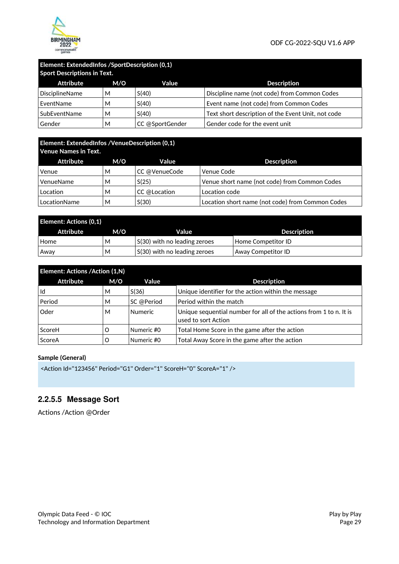

#### **Element: ExtendedInfos /SportDescription (0,1) Sport Descriptions in Text**

| <b>Sport Descriptions in Text.</b> |     |                 |                                                    |  |  |
|------------------------------------|-----|-----------------|----------------------------------------------------|--|--|
| Attribute                          | M/O | Value           | <b>Description</b>                                 |  |  |
| <b>DisciplineName</b>              | м   | S(40)           | Discipline name (not code) from Common Codes       |  |  |
| EventName                          | м   | S(40)           | Event name (not code) from Common Codes            |  |  |
| SubEventName                       | м   | S(40)           | Text short description of the Event Unit, not code |  |  |
| Gender                             | м   | CC @SportGender | Gender code for the event unit                     |  |  |

### **Element: ExtendedInfos /VenueDescription (0,1) Venue Names in Text.**

| TVENUE INANIES III TEAL. |     |               |                                                  |  |  |
|--------------------------|-----|---------------|--------------------------------------------------|--|--|
| Attribute                | M/O | Value         | <b>Description</b>                               |  |  |
| Venue                    | м   | CC @VenueCode | Venue Code                                       |  |  |
| VenueName                | М   | S(25)         | Venue short name (not code) from Common Codes    |  |  |
| Location                 | М   | CC @Location  | Location code                                    |  |  |
| LocationName             | М   | S(30)         | Location short name (not code) from Common Codes |  |  |

| <b>Element: Actions (0,1)</b> |     |                              |                    |
|-------------------------------|-----|------------------------------|--------------------|
| Attribute                     | M/O | Value                        | Description        |
| Home                          | M   | S(30) with no leading zeroes | Home Competitor ID |
| Away                          | M   | S(30) with no leading zeroes | Away Competitor ID |

| Element: Actions / Action (1,N) |     |                |                                                                                           |
|---------------------------------|-----|----------------|-------------------------------------------------------------------------------------------|
| Attribute                       | M/O | Value          | <b>Description</b>                                                                        |
| Id                              | М   | S(36)          | Unique identifier for the action within the message                                       |
| Period                          | М   | SC @Period     | Period within the match                                                                   |
| Oder                            | М   | <b>Numeric</b> | Unique sequential number for all of the actions from 1 to n. It is<br>used to sort Action |
| ScoreH                          | O   | Numeric #0     | Total Home Score in the game after the action                                             |
| ScoreA                          | O   | Numeric #0     | Total Away Score in the game after the action                                             |

#### **Sample (General)**

```
<Action Id="123456" Period="G1" Order="1" ScoreH="0" ScoreA="1" />
```
# **2.2.5.5 Message Sort**

Actions /Action @Order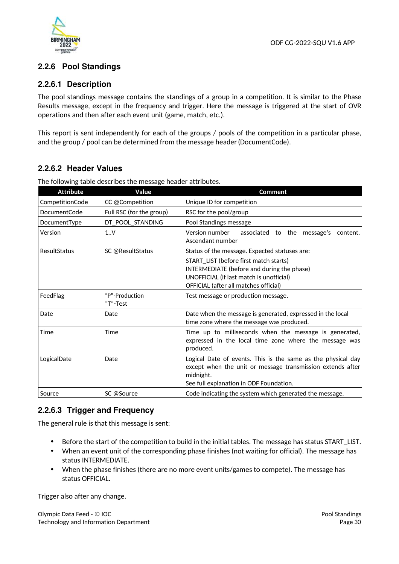

# **2.2.6 Pool Standings**

# **2.2.6.1 Description**

The pool standings message contains the standings of a group in a competition. It is similar to the Phase Results message, except in the frequency and trigger. Here the message is triggered at the start of OVR operations and then after each event unit (game, match, etc.).

This report is sent independently for each of the groups / pools of the competition in a particular phase, and the group / pool can be determined from the message header (DocumentCode).

# **2.2.6.2 Header Values**

| <b>Attribute</b> | Value                    | <b>Comment</b>                                                                                          |
|------------------|--------------------------|---------------------------------------------------------------------------------------------------------|
| CompetitionCode  | CC @Competition          | Unique ID for competition                                                                               |
| DocumentCode     | Full RSC (for the group) | RSC for the pool/group                                                                                  |
| DocumentType     | DT_POOL_STANDING         | Pool Standings message                                                                                  |
| Version          | 1.0V                     | associated to the message's<br>Version number<br>content.<br>Ascendant number                           |
| ResultStatus     | SC @ResultStatus         | Status of the message. Expected statuses are:                                                           |
|                  |                          | START_LIST (before first match starts)                                                                  |
|                  |                          | INTERMEDIATE (before and during the phase)                                                              |
|                  |                          | UNOFFICIAL (if last match is unofficial)                                                                |
|                  |                          | OFFICIAL (after all matches official)                                                                   |
| FeedFlag         | "P"-Production           | Test message or production message.                                                                     |
|                  | "T"-Test                 |                                                                                                         |
| Date             | Date                     | Date when the message is generated, expressed in the local<br>time zone where the message was produced. |
| Time             | Time                     | Time up to milliseconds when the message is generated,                                                  |
|                  |                          | expressed in the local time zone where the message was<br>produced.                                     |
| LogicalDate      | Date                     | Logical Date of events. This is the same as the physical day                                            |
|                  |                          | except when the unit or message transmission extends after                                              |
|                  |                          | midnight.                                                                                               |
|                  |                          | See full explanation in ODF Foundation.                                                                 |
| Source           | SC @Source               | Code indicating the system which generated the message.                                                 |

The following table describes the message header attributes.

# **2.2.6.3 Trigger and Frequency**

The general rule is that this message is sent:

- Before the start of the competition to build in the initial tables. The message has status START\_LIST.
- When an event unit of the corresponding phase finishes (not waiting for official). The message has status INTERMEDIATE.
- When the phase finishes (there are no more event units/games to compete). The message has status OFFICIAL.

Trigger also after any change.

Olympic Data Feed - © IOC Technology and Information Department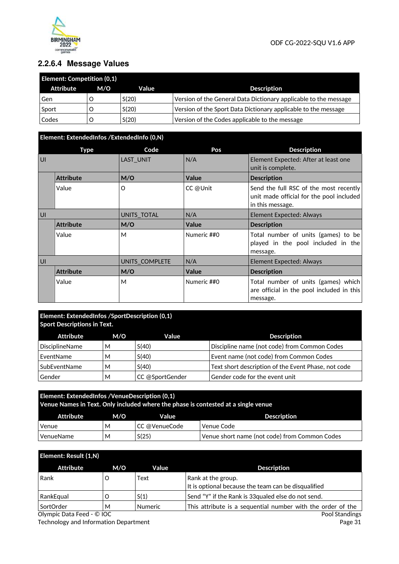

# **2.2.6.4 Message Values**

| <b>Element: Competition (0,1)</b> |     |       |                                                                  |
|-----------------------------------|-----|-------|------------------------------------------------------------------|
| Attribute                         | M/O | Value | <b>Description</b>                                               |
| Gen                               |     | S(20) | Version of the General Data Dictionary applicable to the message |
| Sport                             |     | S(20) | Version of the Sport Data Dictionary applicable to the message   |
| Codes                             |     | S(20) | Version of the Codes applicable to the message                   |

# **Element: ExtendedInfos /ExtendedInfo (0,N)**

|    | <b>Type</b>      | Code             | Pos          | <b>Description</b>                                                                                     |
|----|------------------|------------------|--------------|--------------------------------------------------------------------------------------------------------|
| UI |                  | <b>LAST UNIT</b> | N/A          | Element Expected: After at least one<br>unit is complete.                                              |
|    | <b>Attribute</b> | M/O              | Value        | <b>Description</b>                                                                                     |
|    | Value            | Ω                | CC @Unit     | Send the full RSC of the most recently<br>unit made official for the pool included<br>in this message. |
| U  |                  | UNITS_TOTAL      | N/A          | Element Expected: Always                                                                               |
|    | <b>Attribute</b> | M/O              | <b>Value</b> | <b>Description</b>                                                                                     |
|    | Value            | M                | Numeric ##0  | Total number of units (games) to be<br>played in the pool included in the<br>message.                  |
| U  |                  | UNITS COMPLETE   | N/A          | Element Expected: Always                                                                               |
|    | <b>Attribute</b> | M/O              | Value        | <b>Description</b>                                                                                     |
|    | Value            | M                | Numeric ##0  | Total number of units (games) which<br>are official in the pool included in this<br>message.           |

#### **Element: ExtendedInfos /SportDescription (0,1) Sport Descriptions in Text.**

| Attribute             | M/O | Value           | <b>Description</b>                                  |
|-----------------------|-----|-----------------|-----------------------------------------------------|
| <b>DisciplineName</b> | M   | S(40)           | Discipline name (not code) from Common Codes        |
| EventName             | М   | S(40)           | Event name (not code) from Common Codes             |
| SubEventName          | M   | S(40)           | Text short description of the Event Phase, not code |
| Gender                | М   | CC @SportGender | Gender code for the event unit                      |

# **Element: ExtendedInfos /VenueDescription (0,1) Venue Names in Text. Only included where the phase is contested at a single venue**  Attribute M/O Value **Description** Venue M CC @VenueCode Venue Code VenueName  $\begin{vmatrix} 0 & 0 \end{vmatrix}$  S(25) Venue short name (not code) from Common Codes

| Element: Result (1,N)     |     |                |                                                                           |
|---------------------------|-----|----------------|---------------------------------------------------------------------------|
| <b>Attribute</b>          | M/O | Value          | <b>Description</b>                                                        |
| Rank                      |     | Text           | Rank at the group.<br>It is optional because the team can be disqualified |
| RankEqual                 |     | S(1)           | Send "Y" if the Rank is 33 qualed else do not send.                       |
| SortOrder                 | м   | <b>Numeric</b> | This attribute is a sequential number with the order of the               |
| Olympic Data Feed - © IOC |     |                | Pool Standings                                                            |

Olympic Data Feed - © IOC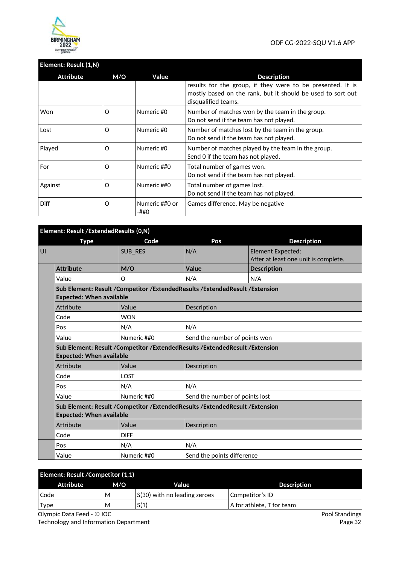

# **Element: Result (1,N)**

| Attribute   | M/O      | Value                  | <b>Description</b>                                                                                                                               |
|-------------|----------|------------------------|--------------------------------------------------------------------------------------------------------------------------------------------------|
|             |          |                        | results for the group, if they were to be presented. It is<br>mostly based on the rank, but it should be used to sort out<br>disqualified teams. |
| Won         | Ω        | Numeric #0             | Number of matches won by the team in the group.<br>Do not send if the team has not played.                                                       |
| Lost        | Ω        | Numeric #0             | Number of matches lost by the team in the group.<br>Do not send if the team has not played.                                                      |
| Played      | O        | Numeric #0             | Number of matches played by the team in the group.<br>Send 0 if the team has not played.                                                         |
| For         | O        | Numeric ##0            | Total number of games won.<br>Do not send if the team has not played.                                                                            |
| Against     | $\Omega$ | Numeric ##0            | Total number of games lost.<br>Do not send if the team has not played.                                                                           |
| <b>Diff</b> | O        | Numeric ##0 or<br>-##0 | Games difference. May be negative                                                                                                                |

|   | Element: Result / Extended Results (0, N) |                                               |                                                                                   |                                      |  |
|---|-------------------------------------------|-----------------------------------------------|-----------------------------------------------------------------------------------|--------------------------------------|--|
|   | <b>Type</b>                               | Code                                          | Pos                                                                               | <b>Description</b>                   |  |
| U |                                           | SUB_RES                                       | N/A                                                                               | <b>Element Expected:</b>             |  |
|   |                                           |                                               |                                                                                   | After at least one unit is complete. |  |
|   | <b>Attribute</b>                          | M/O                                           | Value                                                                             | <b>Description</b>                   |  |
|   | Value                                     | O                                             | N/A                                                                               | N/A                                  |  |
|   | <b>Expected: When available</b>           |                                               | Sub Element: Result / Competitor / Extended Results / Extended Result / Extension |                                      |  |
|   | Attribute                                 | Value                                         | Description                                                                       |                                      |  |
|   | Code                                      | <b>WON</b>                                    |                                                                                   |                                      |  |
|   | Pos                                       | N/A                                           | N/A                                                                               |                                      |  |
|   | Value                                     | Numeric ##0                                   | Send the number of points won                                                     |                                      |  |
|   | <b>Expected: When available</b>           |                                               | Sub Element: Result / Competitor / Extended Results / Extended Result / Extension |                                      |  |
|   | Attribute                                 | Value                                         | Description                                                                       |                                      |  |
|   | Code                                      | LOST                                          |                                                                                   |                                      |  |
|   | Pos                                       | N/A                                           | N/A                                                                               |                                      |  |
|   | Value                                     | Numeric ##0<br>Send the number of points lost |                                                                                   |                                      |  |
|   | <b>Expected: When available</b>           |                                               | Sub Element: Result / Competitor / Extended Results / Extended Result / Extension |                                      |  |
|   | Attribute                                 | Value                                         | Description                                                                       |                                      |  |
|   | Code                                      | <b>DIFF</b>                                   |                                                                                   |                                      |  |
|   | Pos                                       | N/A                                           | N/A                                                                               |                                      |  |
|   | Value                                     | Numeric ##0                                   | Send the points difference                                                        |                                      |  |

| <b>Element: Result / Competitor (1,1)</b> |     |                              |                                     |  |  |
|-------------------------------------------|-----|------------------------------|-------------------------------------|--|--|
| Attribute                                 | M/O | Value                        | <b>Description</b>                  |  |  |
| Code                                      | М   | S(30) with no leading zeroes | Competitor's ID                     |  |  |
| <b>Type</b>                               | М   | S(1)                         | $\,$ A for athlete. T for team $\,$ |  |  |

Olympic Data Feed - © IOC Technology and Information Department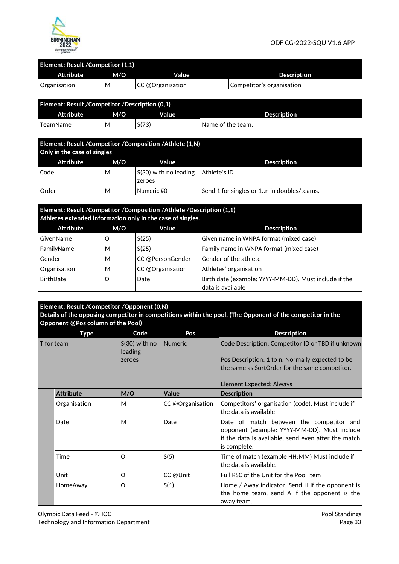

#### **Element: Result /Competitor (1,1)**

| <b>Attribute</b> | M/O | Value             | <b>Description</b>        |  |  |
|------------------|-----|-------------------|---------------------------|--|--|
| Organisation     | м   | ∣CC @Organisation | Competitor's organisation |  |  |

| Element: Result / Competitor / Description (0,1) |     |       |                    |  |
|--------------------------------------------------|-----|-------|--------------------|--|
| <b>Attribute</b>                                 | M/O | Value | <b>Description</b> |  |
| ' TeamName                                       | M   | S(73) | Name of the team.  |  |

| Element: Result / Competitor / Composition / Athlete (1,N)<br>Only in the case of singles |     |                                 |                                            |  |
|-------------------------------------------------------------------------------------------|-----|---------------------------------|--------------------------------------------|--|
| Attribute                                                                                 | M/O | Value                           | <b>Description</b>                         |  |
| Code                                                                                      | М   | S(30) with no leading<br>zeroes | Athlete's ID                               |  |
| Order                                                                                     | м   | Numeric #0                      | Send 1 for singles or 1n in doubles/teams. |  |

#### **Element: Result /Competitor /Composition /Athlete /Description (1,1) Athletes extended information only in the case of singles.**

| Attrictes extended information only in the case of singles. |     |                  |                                                                            |  |
|-------------------------------------------------------------|-----|------------------|----------------------------------------------------------------------------|--|
| <b>Attribute</b>                                            | M/O | Value            | <b>Description</b>                                                         |  |
| GivenName                                                   |     | S(25)            | Given name in WNPA format (mixed case)                                     |  |
| FamilyName                                                  | м   | S(25)            | Family name in WNPA format (mixed case)                                    |  |
| Gender                                                      | м   | CC @PersonGender | Gender of the athlete                                                      |  |
| Organisation                                                | M   | CC @Organisation | Athletes' organisation                                                     |  |
| BirthDate                                                   | O   | Date             | Birth date (example: YYYY-MM-DD). Must include if the<br>data is available |  |

# **Element: Result /Competitor /Opponent (0,N)**

**Details of the opposing competitor in competitions within the pool. (The Opponent of the competitor in the Opponent @Pos column of the Pool)** 

|  | <b>Type</b>      | Code                       | Pos              | <b>Description</b>                                                                                                                                              |
|--|------------------|----------------------------|------------------|-----------------------------------------------------------------------------------------------------------------------------------------------------------------|
|  | T for team       | $S(30)$ with no<br>leading | <b>Numeric</b>   | Code Description: Competitor ID or TBD if unknown                                                                                                               |
|  |                  | zeroes                     |                  | Pos Description: 1 to n. Normally expected to be<br>the same as SortOrder for the same competitor.                                                              |
|  |                  |                            |                  | Element Expected: Always                                                                                                                                        |
|  | <b>Attribute</b> | M/O                        | Value            | <b>Description</b>                                                                                                                                              |
|  | Organisation     | M                          | CC @Organisation | Competitors' organisation (code). Must include if<br>the data is available                                                                                      |
|  | Date             | M                          | Date             | Date of match between the competitor and<br>opponent (example: YYYY-MM-DD). Must include<br>if the data is available, send even after the match<br>is complete. |
|  | Time             | O                          | S(5)             | Time of match (example HH:MM) Must include if<br>the data is available.                                                                                         |
|  | Unit             | O                          | CC @Unit         | Full RSC of the Unit for the Pool Item                                                                                                                          |
|  | HomeAway         | O                          | S(1)             | Home / Away indicator. Send H if the opponent is<br>the home team, send A if the opponent is the<br>away team.                                                  |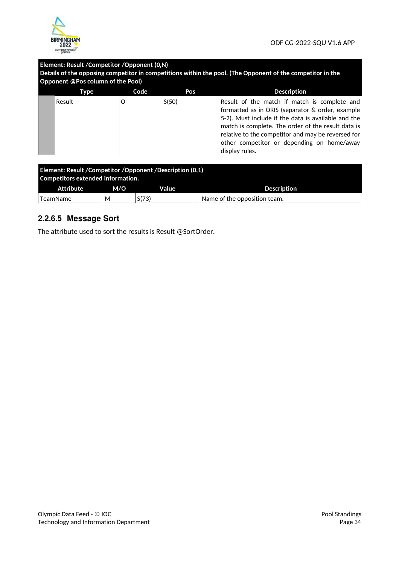

# **Element: Result /Competitor /Opponent (0,N)**

| Details of the opposing competitor in competitions within the pool. (The Opponent of the competitor in the |  |
|------------------------------------------------------------------------------------------------------------|--|
| Opponent @Pos column of the Pool)                                                                          |  |

| Type   | Code | Pos   | <b>Description</b>                                                                                                                                                                                                                                                                                                                  |
|--------|------|-------|-------------------------------------------------------------------------------------------------------------------------------------------------------------------------------------------------------------------------------------------------------------------------------------------------------------------------------------|
| Result |      | S(50) | Result of the match if match is complete and<br>formatted as in ORIS (separator & order, example<br>5-2). Must include if the data is available and the<br>match is complete. The order of the result data is<br>relative to the competitor and may be reversed for<br>other competitor or depending on home/away<br>display rules. |

| <b>Element: Result / Competitor / Opponent / Description (0,1)</b><br>Competitors extended information. |     |       |                              |  |
|---------------------------------------------------------------------------------------------------------|-----|-------|------------------------------|--|
| Attribute                                                                                               | M/O | Value | <b>Description</b>           |  |
| TeamName                                                                                                | М   | S(73) | Name of the opposition team. |  |

# **2.2.6.5 Message Sort**

The attribute used to sort the results is Result @SortOrder.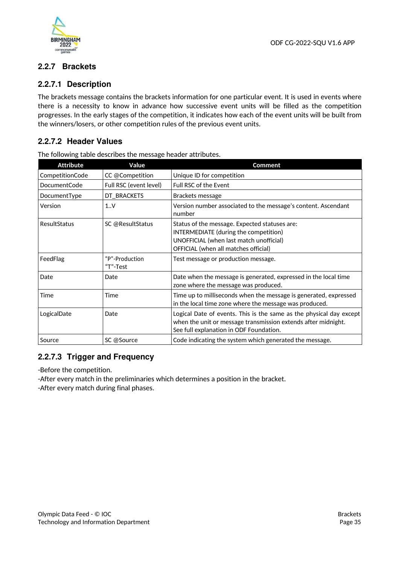



# **2.2.7 Brackets**

# **2.2.7.1 Description**

The brackets message contains the brackets information for one particular event. It is used in events where there is a necessity to know in advance how successive event units will be filled as the competition progresses. In the early stages of the competition, it indicates how each of the event units will be built from the winners/losers, or other competition rules of the previous event units.

# **2.2.7.2 Header Values**

| <b>Attribute</b> | Value                      | <b>Comment</b>                                                                                                                                                                  |
|------------------|----------------------------|---------------------------------------------------------------------------------------------------------------------------------------------------------------------------------|
| CompetitionCode  | CC @Competition            | Unique ID for competition                                                                                                                                                       |
| DocumentCode     | Full RSC (event level)     | Full RSC of the Event                                                                                                                                                           |
| DocumentType     | DT_BRACKETS                | Brackets message                                                                                                                                                                |
| Version          | 1.1V                       | Version number associated to the message's content. Ascendant<br>number                                                                                                         |
| ResultStatus     | SC @ResultStatus           | Status of the message. Expected statuses are:<br>INTERMEDIATE (during the competition)<br>UNOFFICIAL (when last match unofficial)<br>OFFICIAL (when all matches official)       |
| FeedFlag         | "P"-Production<br>"T"-Test | Test message or production message.                                                                                                                                             |
| Date             | Date                       | Date when the message is generated, expressed in the local time<br>zone where the message was produced.                                                                         |
| Time             | Time                       | Time up to milliseconds when the message is generated, expressed<br>in the local time zone where the message was produced.                                                      |
| LogicalDate      | Date                       | Logical Date of events. This is the same as the physical day except<br>when the unit or message transmission extends after midnight.<br>See full explanation in ODF Foundation. |
| Source           | SC @Source                 | Code indicating the system which generated the message.                                                                                                                         |

The following table describes the message header attributes.

# **2.2.7.3 Trigger and Frequency**

-Before the competition.

-After every match in the preliminaries which determines a position in the bracket. -After every match during final phases.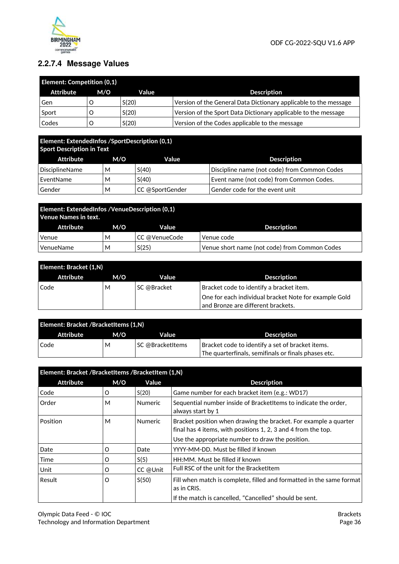

# **2.2.7.4 Message Values**

| <b>Element: Competition (0,1)</b> |     |       |                                                                  |  |
|-----------------------------------|-----|-------|------------------------------------------------------------------|--|
| Attribute                         | M/O | Value | <b>Description</b>                                               |  |
| Gen                               |     | S(20) | Version of the General Data Dictionary applicable to the message |  |
| Sport                             |     | S(20) | Version of the Sport Data Dictionary applicable to the message   |  |
| Codes                             |     | S(20) | Version of the Codes applicable to the message                   |  |

#### **Element: ExtendedInfos /SportDescription (0,1) Sport Description in Text**

|                | <b>Sport Description in Text</b> |                 |                                              |  |  |  |
|----------------|----------------------------------|-----------------|----------------------------------------------|--|--|--|
| Attribute      | M/O                              | Value           | <b>Description</b>                           |  |  |  |
| DisciplineName | м                                | S(40)           | Discipline name (not code) from Common Codes |  |  |  |
| EventName      | M                                | S(40)           | Event name (not code) from Common Codes.     |  |  |  |
| Gender         | M                                | CC @SportGender | Gender code for the event unit               |  |  |  |

| Element: ExtendedInfos / Venue Description (0,1)<br>Venue Names in text. |     |               |                                               |  |
|--------------------------------------------------------------------------|-----|---------------|-----------------------------------------------|--|
| Attribute                                                                | M/O | Value         | <b>Description</b>                            |  |
| Venue                                                                    | М   | CC @VenueCode | Venue code                                    |  |
| VenueName                                                                | м   | S(25)         | Venue short name (not code) from Common Codes |  |

| Element: Bracket (1,N) |     |             |                                                       |  |  |
|------------------------|-----|-------------|-------------------------------------------------------|--|--|
| Attribute              | M/O | Value       | <b>Description</b>                                    |  |  |
| Code                   | М   | SC @Bracket | Bracket code to identify a bracket item.              |  |  |
|                        |     |             | One for each individual bracket Note for example Gold |  |  |
|                        |     |             | and Bronze are different brackets.                    |  |  |

| Element: Bracket /BracketItems (1,N) |     |                         |                                                     |  |
|--------------------------------------|-----|-------------------------|-----------------------------------------------------|--|
| Attribute                            | M/O | Value                   | Description                                         |  |
| Code                                 | М   | <b>SC @BracketItems</b> | Bracket code to identify a set of bracket items.    |  |
|                                      |     |                         | The quarterfinals, semifinals or finals phases etc. |  |

| Element: Bracket /BracketItems /BracketItem (1,N) |          |                |                                                                                                                                   |  |
|---------------------------------------------------|----------|----------------|-----------------------------------------------------------------------------------------------------------------------------------|--|
| <b>Attribute</b>                                  | M/O      | Value          | <b>Description</b>                                                                                                                |  |
| Code                                              | O        | S(20)          | Game number for each bracket item (e.g.: WD17)                                                                                    |  |
| Order                                             | М        | <b>Numeric</b> | Sequential number inside of BracketItems to indicate the order,<br>always start by 1                                              |  |
| Position                                          | М        | <b>Numeric</b> | Bracket position when drawing the bracket. For example a quarter<br>final has 4 items, with positions 1, 2, 3 and 4 from the top. |  |
|                                                   |          |                | Use the appropriate number to draw the position.                                                                                  |  |
| Date                                              | O        | Date           | YYYY-MM-DD. Must be filled if known                                                                                               |  |
| Time                                              | $\Omega$ | S(5)           | HH:MM. Must be filled if known                                                                                                    |  |
| Unit                                              | O        | CC @Unit       | Full RSC of the unit for the BracketItem                                                                                          |  |
| Result                                            | O        | S(50)          | Fill when match is complete, filled and formatted in the same format<br>as in CRIS.                                               |  |
|                                                   |          |                | If the match is cancelled, "Cancelled" should be sent.                                                                            |  |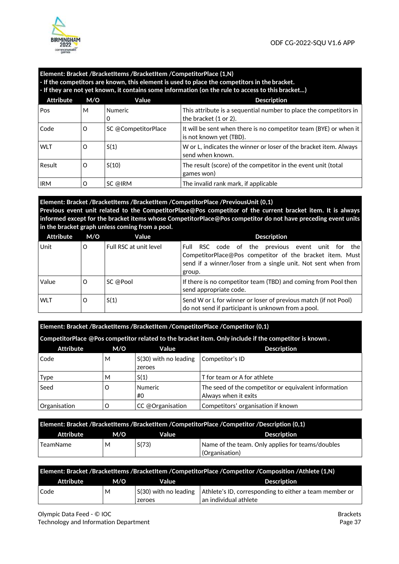

#### **Element: Bracket /BracketItems /BracketItem /CompetitorPlace (1,N) - If the competitors are known, this element is used to place the competitors in the bracket. - If they are not yet known, it contains some information (on the rule to access to this bracket…)**  Attribute M/O Value **Value Attribute** Description Pos M Numeric  $\Omega$ This attribute is a sequential number to place the competitors in the bracket (1 or 2). Code  $\vert$  O  $\vert$  SC @CompetitorPlace  $\vert$  It will be sent when there is no competitor team (BYE) or when it is not known yet (TBD). WLT  $\begin{vmatrix} 0 & 1 \end{vmatrix}$   $\begin{vmatrix} 1 & 0 \end{vmatrix}$   $\begin{vmatrix} 0 & 0 \end{vmatrix}$   $\begin{vmatrix} 0 & 0 \end{vmatrix}$   $\begin{vmatrix} 0 & 0 \end{vmatrix}$   $\begin{vmatrix} 0 & 0 \end{vmatrix}$   $\begin{vmatrix} 0 & 0 \end{vmatrix}$   $\begin{vmatrix} 0 & 0 \end{vmatrix}$   $\begin{vmatrix} 0 & 0 \end{vmatrix}$   $\begin{vmatrix} 0 & 0 \end{vmatrix}$   $\begin{vmatrix} 0 & 0 \end{vmatrix$ send when known. Result  $\begin{bmatrix} 0 & 5(10) \end{bmatrix}$  The result (score) of the competitor in the event unit (total

**Element: Bracket /BracketItems /BracketItem /CompetitorPlace /PreviousUnit (0,1) Previous event unit related to the CompetitorPlace@Pos competitor of the current bracket item. It is always informed except for the bracket items whose CompetitorPlace@Pos competitor do not have preceding event units in the bracket graph unless coming from a pool.** 

games won)

IRM  $\vert$  O  $\vert$  SC @IRM  $\vert$  The invalid rank mark, if applicable

| <b>Attribute</b> | M/O     | Value                  | <b>Description</b>                                                                                                                                                                             |
|------------------|---------|------------------------|------------------------------------------------------------------------------------------------------------------------------------------------------------------------------------------------|
| Unit             | $\circ$ | Full RSC at unit level | RSC code of the previous event unit for<br>the<br>-Full<br>CompetitorPlace@Pos competitor of the bracket item. Must<br>send if a winner/loser from a single unit. Not sent when from<br>group. |
| Value            | O       | SC @Pool               | If there is no competitor team (TBD) and coming from Pool then<br>send appropriate code.                                                                                                       |
| <b>WLT</b>       | O       | S(1)                   | Send W or L for winner or loser of previous match (if not Pool)<br>do not send if participant is unknown from a pool.                                                                          |

|                  | Element: Bracket /BracketItems /BracketItem /CompetitorPlace /Competitor (0,1) |                                   |                                                                                                        |  |  |  |
|------------------|--------------------------------------------------------------------------------|-----------------------------------|--------------------------------------------------------------------------------------------------------|--|--|--|
|                  |                                                                                |                                   | Competitor Place @Pos competitor related to the bracket item. Only include if the competitor is known. |  |  |  |
| <b>Attribute</b> | M/O                                                                            | Value                             | <b>Description</b>                                                                                     |  |  |  |
| Code             | м                                                                              | $S(30)$ with no leading<br>zeroes | Competitor's ID                                                                                        |  |  |  |
| <b>Type</b>      | М                                                                              | S(1)                              | T for team or A for athlete                                                                            |  |  |  |
| Seed             | Ω                                                                              | <b>Numeric</b><br>#0              | The seed of the competitor or equivalent information<br>Always when it exits                           |  |  |  |
| Organisation     |                                                                                | CC @Organisation                  | Competitors' organisation if known                                                                     |  |  |  |

| Element: Bracket /BracketItems /BracketItem /CompetitorPlace /Competitor /Description (0,1) |     |       |                                                                    |  |
|---------------------------------------------------------------------------------------------|-----|-------|--------------------------------------------------------------------|--|
| Attribute                                                                                   | M/O | Value | Description                                                        |  |
| TeamName                                                                                    | М   | S(73) | Name of the team. Only applies for teams/doubles<br>(Organisation) |  |
|                                                                                             |     |       |                                                                    |  |

| Element: Bracket /BracketItems /BracketItem /CompetitorPlace /Competitor /Composition /Athlete (1,N) |     |                                     |                                                        |  |  |
|------------------------------------------------------------------------------------------------------|-----|-------------------------------------|--------------------------------------------------------|--|--|
| <b>Attribute</b>                                                                                     | M/O | Value                               | <b>Description</b>                                     |  |  |
| Code                                                                                                 | М   | $\mid$ S(30) with no leading $\mid$ | Athlete's ID, corresponding to either a team member or |  |  |
|                                                                                                      |     | zeroes                              | an individual athlete                                  |  |  |

Olympic Data Feed - © IOC Technology and Information Department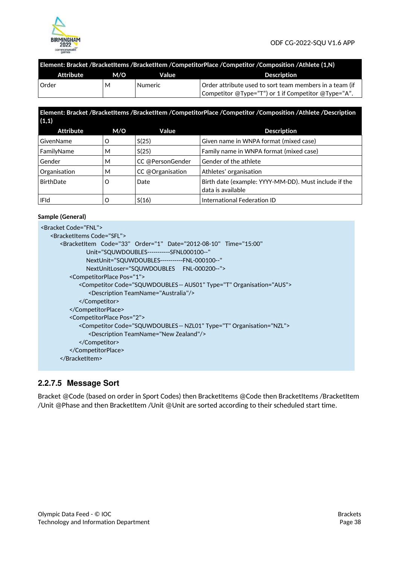

| Element: Bracket /BracketItems /BracketItem /CompetitorPlace /Competitor /Composition /Athlete (1,N) |  |  |
|------------------------------------------------------------------------------------------------------|--|--|
|                                                                                                      |  |  |
|                                                                                                      |  |  |

| <b>Attribute</b> | M/O | Value   | <b>Description</b>                                      |
|------------------|-----|---------|---------------------------------------------------------|
| <b>Order</b>     | М   | Numeric | Order attribute used to sort team members in a team (if |
|                  |     |         | Competitor @Type="T") or 1 if Competitor @Type="A".     |

#### **Element: Bracket /BracketItems /BracketItem /CompetitorPlace /Competitor /Composition /Athlete /Description (1,1)**

| <b>Attribute</b> | M/O | Value            | <b>Description</b>                                                         |
|------------------|-----|------------------|----------------------------------------------------------------------------|
| GivenName        | O   | S(25)            | Given name in WNPA format (mixed case)                                     |
| FamilyName       | м   | S(25)            | Family name in WNPA format (mixed case)                                    |
| Gender           | м   | CC @PersonGender | Gender of the athlete                                                      |
| Organisation     | м   | CC @Organisation | Athletes' organisation                                                     |
| BirthDate        | O   | Date             | Birth date (example: YYYY-MM-DD). Must include if the<br>data is available |
| IFId             |     | S(16)            | International Federation ID                                                |

#### **Sample (General)**

| <bracket code="FNI"></bracket>                                                   |
|----------------------------------------------------------------------------------|
| <bracketitems code="SFI"></bracketitems>                                         |
| <br>ShacketItem Code="33" Order="1" Date="2012-08-10" Time="15:00"               |
| Unit="SQUWDOUBLES-----------SFNL000100--"                                        |
| NextUnit="SQUWDOUBLES-----------FNL-000100--"                                    |
| NextUnitLoser="SQUWDOUBLES FNL-000200--">                                        |
| <competitorplace pos="1"></competitorplace>                                      |
| <competitor code="SQUWDOUBLES-- AUS01" organisation="AUS" type="T"></competitor> |
| <description teamname="Australia"></description>                                 |
|                                                                                  |
|                                                                                  |
| <competitorplace pos="2"></competitorplace>                                      |
| <competitor code="SQUWDOUBLES-- NZL01" organisation="NZL" type="T"></competitor> |
| <description teamname="New Zealand"></description>                               |
|                                                                                  |
|                                                                                  |
|                                                                                  |
|                                                                                  |

### **2.2.7.5 Message Sort**

Bracket @Code (based on order in Sport Codes) then BracketItems @Code then BracketItems /BracketItem /Unit @Phase and then BracketItem /Unit @Unit are sorted according to their scheduled start time.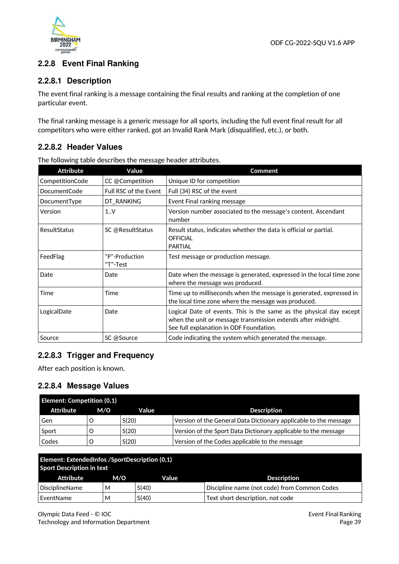

# **2.2.8 Event Final Ranking**

# **2.2.8.1 Description**

The event final ranking is a message containing the final results and ranking at the completion of one particular event.

The final ranking message is a generic message for all sports, including the full event final result for all competitors who were either ranked, got an Invalid Rank Mark (disqualified, etc.), or both.

# **2.2.8.2 Header Values**

The following table describes the message header attributes.

| <b>Attribute</b> | Value                      | Comment                                                                                                                                                                         |
|------------------|----------------------------|---------------------------------------------------------------------------------------------------------------------------------------------------------------------------------|
| CompetitionCode  | CC @Competition            | Unique ID for competition                                                                                                                                                       |
| DocumentCode     | Full RSC of the Event      | Full (34) RSC of the event                                                                                                                                                      |
| DocumentType     | DT_RANKING                 | Event Final ranking message                                                                                                                                                     |
| Version          | 1.0 <sub>Y</sub>           | Version number associated to the message's content. Ascendant<br>number                                                                                                         |
| ResultStatus     | SC @ResultStatus           | Result status, indicates whether the data is official or partial.<br><b>OFFICIAL</b><br><b>PARTIAL</b>                                                                          |
| FeedFlag         | "P"-Production<br>"T"-Test | Test message or production message.                                                                                                                                             |
| Date             | Date                       | Date when the message is generated, expressed in the local time zone<br>where the message was produced.                                                                         |
| Time             | Time                       | Time up to milliseconds when the message is generated, expressed in<br>the local time zone where the message was produced.                                                      |
| LogicalDate      | Date                       | Logical Date of events. This is the same as the physical day except<br>when the unit or message transmission extends after midnight.<br>See full explanation in ODF Foundation. |
| Source           | SC @Source                 | Code indicating the system which generated the message.                                                                                                                         |

# **2.2.8.3 Trigger and Frequency**

After each position is known.

### **2.2.8.4 Message Values**

| <b>Element: Competition (0,1)</b> |     |       |                                                                  |  |  |
|-----------------------------------|-----|-------|------------------------------------------------------------------|--|--|
| Attribute                         | M/O | Value | <b>Description</b>                                               |  |  |
| Gen                               |     | S(20) | Version of the General Data Dictionary applicable to the message |  |  |
| Sport                             |     | S(20) | Version of the Sport Data Dictionary applicable to the message   |  |  |
| Codes                             |     | S(20) | Version of the Codes applicable to the message                   |  |  |

| Element: ExtendedInfos /SportDescription (0,1)<br><b>Sport Description in text</b> |     |       |                                              |  |
|------------------------------------------------------------------------------------|-----|-------|----------------------------------------------|--|
| Attribute                                                                          | M/O | Value | <b>Description</b>                           |  |
| DisciplineName                                                                     | м   | S(40) | Discipline name (not code) from Common Codes |  |
| EventName                                                                          | м   | S(40) | Text short description, not code             |  |

Olympic Data Feed - © IOC Technology and Information Department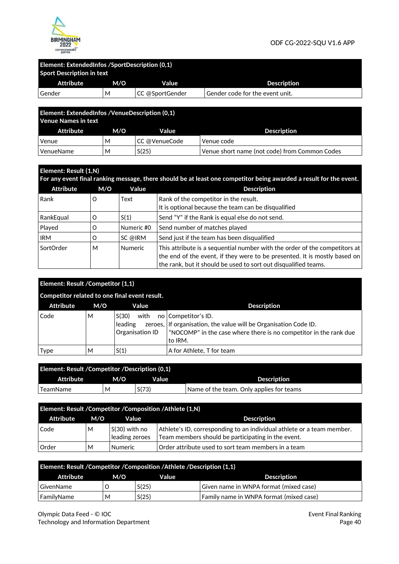

# **Element: ExtendedInfos /SportDescription (0,1)**

| <b>Sport Description in text</b> |     |                 |                                 |  |  |  |
|----------------------------------|-----|-----------------|---------------------------------|--|--|--|
| Attribute                        | M/O | Value           | <b>Description</b>              |  |  |  |
| Gender                           | М   | CC @SportGender | Gender code for the event unit. |  |  |  |
|                                  |     |                 |                                 |  |  |  |

| <b>Element: ExtendedInfos / Venue Description (0.1)</b><br><b>Venue Names in text</b> |     |               |                                               |  |  |
|---------------------------------------------------------------------------------------|-----|---------------|-----------------------------------------------|--|--|
| Attribute                                                                             | M/O | Value         | <b>Description</b>                            |  |  |
| Venue                                                                                 | м   | CC @VenueCode | Venue code                                    |  |  |
| VenueName                                                                             | М   | S(25)         | Venue short name (not code) from Common Codes |  |  |

| Element: Result (1,N)<br>For any event final ranking message, there should be at least one competitor being awarded a result for the event. |     |                |                                                                                                                                                                                                                            |  |  |
|---------------------------------------------------------------------------------------------------------------------------------------------|-----|----------------|----------------------------------------------------------------------------------------------------------------------------------------------------------------------------------------------------------------------------|--|--|
| <b>Attribute</b>                                                                                                                            | M/O | Value          | <b>Description</b>                                                                                                                                                                                                         |  |  |
| Rank                                                                                                                                        | O   | Text           | Rank of the competitor in the result.<br>It is optional because the team can be disqualified                                                                                                                               |  |  |
| RankEqual                                                                                                                                   | O   | S(1)           | Send "Y" if the Rank is equal else do not send.                                                                                                                                                                            |  |  |
| Played                                                                                                                                      | O   | Numeric #0     | Send number of matches played                                                                                                                                                                                              |  |  |
| <b>IRM</b>                                                                                                                                  | O   | SC @IRM        | Send just if the team has been disqualified                                                                                                                                                                                |  |  |
| SortOrder                                                                                                                                   | М   | <b>Numeric</b> | This attribute is a sequential number with the order of the competitors at<br>the end of the event, if they were to be presented. It is mostly based on<br>the rank, but it should be used to sort out disqualified teams. |  |  |

| Element: Result / Competitor (1,1) |     |                                               |                                                                                                                                                                         |
|------------------------------------|-----|-----------------------------------------------|-------------------------------------------------------------------------------------------------------------------------------------------------------------------------|
|                                    |     | Competitor related to one final event result. |                                                                                                                                                                         |
| <b>Attribute</b>                   | M/O | Value                                         | <b>Description</b>                                                                                                                                                      |
| Code                               | м   | S(30)<br>with<br>leading<br>Organisation ID   | no Competitor's ID.<br>zeroes, If organisation, the value will be Organisation Code ID.<br>"NOCOMP" in the case where there is no competitor in the rank due<br>to IRM. |
| Type                               | м   | S(1)                                          | A for Athlete, T for team                                                                                                                                               |

| Element: Result / Competitor / Description (0,1) |     |       |                                          |
|--------------------------------------------------|-----|-------|------------------------------------------|
| Attribute                                        | M/O | Value | <b>Description</b>                       |
| ' TeamName                                       | M   | S(73) | Name of the team. Only applies for teams |

| Element: Result / Competitor / Composition / Athlete (1,N) |     |                                    |                                                                                                                              |  |  |
|------------------------------------------------------------|-----|------------------------------------|------------------------------------------------------------------------------------------------------------------------------|--|--|
| Attribute                                                  | M/O | Value                              | <b>Description</b>                                                                                                           |  |  |
| Code                                                       | м   | $ S(30)$ with no<br>leading zeroes | Athlete's ID, corresponding to an individual athlete or a team member.<br>Team members should be participating in the event. |  |  |
| Order                                                      | м   | <b>Numeric</b>                     | Order attribute used to sort team members in a team                                                                          |  |  |

| Element: Result / Competitor / Composition / Athlete / Description (1,1) |     |       |                                         |  |  |
|--------------------------------------------------------------------------|-----|-------|-----------------------------------------|--|--|
| Attribute                                                                | M/O | Value | Description                             |  |  |
| GivenName                                                                |     | S(25) | Given name in WNPA format (mixed case)  |  |  |
| FamilyName                                                               | М   | S(25) | Family name in WNPA format (mixed case) |  |  |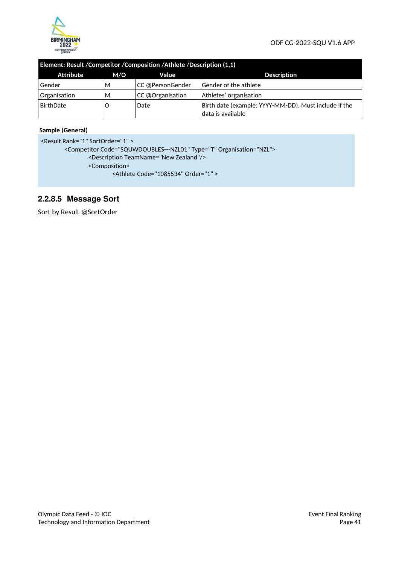

#### **Element: Result /Competitor /Composition /Athlete /Description (1,1)**

| Attribute    | M/O | Value            | <b>Description</b>                                    |
|--------------|-----|------------------|-------------------------------------------------------|
| Gender       | м   | CC @PersonGender | Gender of the athlete                                 |
| Organisation | M   | CC @Organisation | Athletes' organisation                                |
| BirthDate    | Ő   | Date             | Birth date (example: YYYY-MM-DD). Must include if the |
|              |     |                  | data is available                                     |

#### **Sample (General)**

```
<Result Rank="1" SortOrder="1" > 
       <Competitor Code="SQUWDOUBLES---NZL01" Type="T" Organisation="NZL"> 
               <Description TeamName="New Zealand"/> 
               <Composition> 
                       <Athlete Code="1085534" Order="1" >
```
# **2.2.8.5 Message Sort**

Sort by Result @SortOrder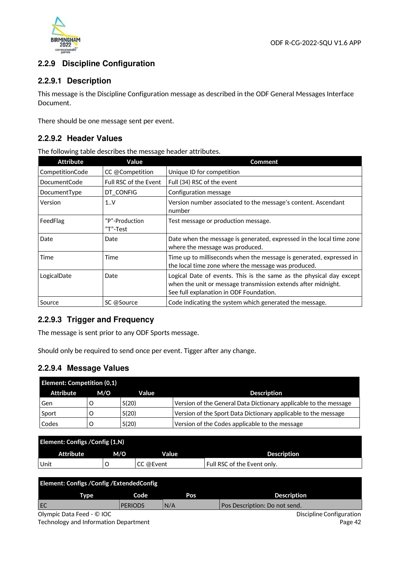

# **2.2.9 Discipline Configuration**

# **2.2.9.1 Description**

This message is the Discipline Configuration message as described in the ODF General Messages Interface Document.

There should be one message sent per event.

# **2.2.9.2 Header Values**

The following table describes the message header attributes.

| Attribute           | Value                      | Comment                                                                                                                                                                         |
|---------------------|----------------------------|---------------------------------------------------------------------------------------------------------------------------------------------------------------------------------|
| CompetitionCode     | CC @Competition            | Unique ID for competition                                                                                                                                                       |
| <b>DocumentCode</b> | Full RSC of the Event      | Full (34) RSC of the event                                                                                                                                                      |
| DocumentType        | DT_CONFIG                  | Configuration message                                                                                                                                                           |
| Version             | 1.0 <sub>Y</sub>           | Version number associated to the message's content. Ascendant<br>number                                                                                                         |
| FeedFlag            | "P"-Production<br>"T"-Test | Test message or production message.                                                                                                                                             |
| Date                | Date                       | Date when the message is generated, expressed in the local time zone<br>where the message was produced.                                                                         |
| Time                | Time                       | Time up to milliseconds when the message is generated, expressed in<br>the local time zone where the message was produced.                                                      |
| LogicalDate         | Date                       | Logical Date of events. This is the same as the physical day except<br>when the unit or message transmission extends after midnight.<br>See full explanation in ODF Foundation. |
| Source              | SC @Source                 | Code indicating the system which generated the message.                                                                                                                         |

# **2.2.9.3 Trigger and Frequency**

The message is sent prior to any ODF Sports message.

Should only be required to send once per event. Tigger after any change.

### **2.2.9.4 Message Values**

| <b>Element: Competition (0,1)</b> |     |       |                                                                  |
|-----------------------------------|-----|-------|------------------------------------------------------------------|
| Attribute                         | M/O | Value | <b>Description</b>                                               |
| Gen                               |     | S(20) | Version of the General Data Dictionary applicable to the message |
| Sport                             |     | S(20) | Version of the Sport Data Dictionary applicable to the message   |
| Codes                             |     | S(20) | Version of the Codes applicable to the message                   |

| Element: Configs / Config (1, N) |     |           |                             |  |
|----------------------------------|-----|-----------|-----------------------------|--|
| <b>Attribute</b>                 | M/O | Value     | <b>Description</b>          |  |
| Unit                             |     | CC @Event | Full RSC of the Event only. |  |

| Element: Configs / Config / Extended Config |                |     |                               |
|---------------------------------------------|----------------|-----|-------------------------------|
| Tvpe                                        | Code           | Pos | <b>Description</b>            |
| EC                                          | <b>PERIODS</b> | N/A | Pos Description: Do not send. |
| Olympic Data Feed - © IOC                   |                |     | Discipline Configuration      |

Technology and Information Department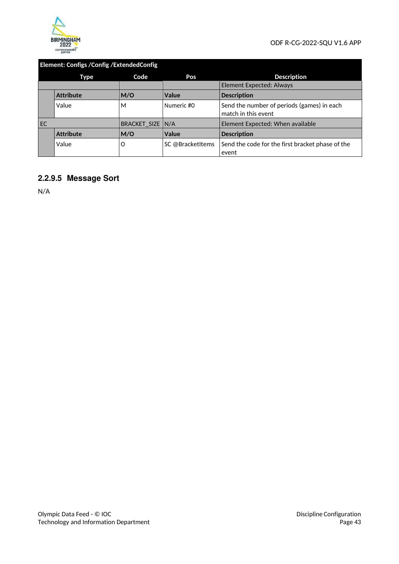

# **Element: Configs /Config /ExtendedConfig**

|    | Type             | Code             | Pos              | <b>Description</b>                                                |
|----|------------------|------------------|------------------|-------------------------------------------------------------------|
|    |                  |                  |                  | <b>Element Expected: Always</b>                                   |
|    | <b>Attribute</b> | M/O              | Value            | <b>Description</b>                                                |
|    | Value            | М                | Numeric #0       | Send the number of periods (games) in each<br>match in this event |
| EC |                  | BRACKET SIZE N/A |                  | Element Expected: When available                                  |
|    | <b>Attribute</b> | M/O              | Value            | <b>Description</b>                                                |
|    | Value            | O                | SC @BracketItems | Send the code for the first bracket phase of the<br>event         |

# **2.2.9.5 Message Sort**

N/A